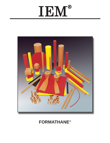# IEM®



## **FORMATHANE**®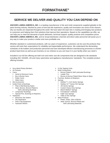## **SERVICE WE DELIVER AND QUALITY YOU CAN DEPEND ON**

**ANCHOR LAMINA AMERICA, INC.** is a leading manufacturer of die and mold components supplied globally to the parts forming industry. Backed by years of tool and die experience, quality and innovation are some of the reasons why our brands are respected throughout the world. We have taken the lead role in creating and bringing new products to customers and helping them find solutions that improve their operations. Based on the capabilities we offer, we can help you to meet the demands of quick deliveries, technical support, quality products and competitive prices. **ANCHOR LAMINA AMERICA, INC.** and its' broad distribution channels and direct sales personnel will assist you in any way to make your product a better and more profitable one.

Whether standard or customized products, with our years of experience, customers can be sure the products they receive will meet their expectations for reliability and dependable performance. We understand the demanding schedules of die builders and production personnel and have developed efficient manufacturing processes to shorten product lead times as well as put inventory on our shelves so you can have it in your facility when you need it.

Included in our full line offering are both inch and metric size die components that are designed to die standards including ISO, NAAMS, JIS and many automotive and appliance manufacturers' standards. The complete product offering includes:

- **EXACCU-Bend Rotary Benders**
- Air Presses
- > Cams
	- Aerial & Diemount Cams
	- Box & Bump Cams
	- Roller Cams
	- Wide Cams
- Die Accessories
- Guide Posts & Bushings
	- **Plain & Ball Bearing Styles**
	- Steel, Bronze, Bronze-Plated &
		- Self-Lubricating Bushings
	- Lempcoloy<sup>®</sup> Bushings
	- **Special Pins, Bushings & Retainers**
- $\triangleright$  Hydraulics
	- Electronic Die Setters
	- Die Separators
	- **Drill & Tap Equipment**
	- **Hydraulic Motors**
- > In-Die Tapping Units
- > Mold Components
	- **Bronze Plated & Self-Lubricated Bushings**
	- **Leader Pins**
	- **Bronze & Bronze Plated Wear Strips & Ways**
- ▶ Punches, Buttons & Retainers
- $\triangleright$  Springs
	- DieMax<sup>™</sup> L Inch Series Springs
	- DieMax XL<sup>™</sup> Series ISO Springs
	- **JIS Series Springs**
	- **Custom Heavy Duty Springs**
	- Marsh Mellow<sup>®</sup> Springs
	- Formathane<sup>®</sup> Urethane
	- **Kaller Gas Springs**
	- **Utility & Disc Springs**
- Wear Products
	- **Plates, Strips, Gibs & Blocks**
	- **Steel, bronze, Bronze-Plated and** Self-Lubricating Materials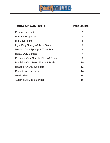

## TABLE OF CONTENTS PAGE NUMBER

| <b>General Information</b>                 | 2                 |
|--------------------------------------------|-------------------|
| <b>Physical Properties</b>                 | 3                 |
| Die-Cover Film                             | 4                 |
| <b>Light Duty Springs &amp; Tube Stock</b> | 5                 |
| Medium Duty Springs & Tube Stock           | 6                 |
| <b>Heavy Duty Springs</b>                  | 7                 |
| Precision-Cast Sheets, Slabs & Discs       | 8                 |
| Precision-Cast Bars, Blocks & Rods         | 10                |
| <b>Headed NAAMS Strippers</b>              | $12 \overline{ }$ |
| <b>Closed End Strippers</b>                | 14                |
| <b>Metric Sizes</b>                        | 15                |
| <b>Automotive Metric Springs</b>           | 16                |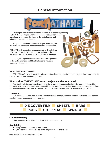## **General Information**



#### **What is FORMATHANE?**

FORMATHANE is a high-quality line of advanced urethane compounds and products, chemically engineered for the metalforming and fabricating industry.

#### **What makes FORMATHANE more than just another urethane?**

First, the knowledge and experience that we have gained through our business life has been directed into FORMATHANE. Next, FORMATHANE starts with the finest raw materials, then processes them using state-of-theart casting equipment to produce urethane compounds with consistent physical and dynamic properties.

#### **The result**

 FORMATHANE compounds offer the ultimate in tensile strength, abrasion and tear resistance, load-bearing capabilities, and compression-set properties.



#### **Custom Molding**

When you need a specialized FORMATHANE part, contact us.

#### **Availability**

- $M$  Many options to cover all applications.
- $\Box$  Quick delivery most are stocked for shipment in one or two days.

FORMATHANE® is a trademark of C.U.E., Inc.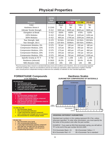## **Physical Properties**

|                            | <b>ASTM</b><br><b>Test</b> |               |               | <b>Compound</b> |               |
|----------------------------|----------------------------|---------------|---------------|-----------------|---------------|
| <b>Property</b>            | <b>Method</b>              | <b>PO-670</b> | <b>PO-650</b> | <b>CU-290</b>   | <b>PO-652</b> |
| Color                      |                            | <b>Black</b>  | Red           | Yellow          | Tan           |
| Hardness Shore A           | D 2240                     | 70            | 85            | 90              | 95            |
| Ultimate Tensile Strength  | D 412                      | 5000 psi      | 6000 psi      | 6500 psi        | 5800 psi      |
| <b>Elongation at Break</b> | D 412                      | 550%          | 600%          | 475%            | 525%          |
| 100% Modulus               | D 412                      | 450 psi       | 750 psi       | 1100 psi        | 1450 psi      |
| 300% Modulus               | D 412                      | 900 psi       | 1700 psi      | 2200 psi        | 2500 psi      |
| Tear Strength, Split       | D 470                      | 55 lb/in.     | 120 lb/in.    | 110 lb/in.      | 150 lb/in.    |
| Tear Strength, Die C       | D 624                      | 325 lb/in.    | 500lb/in.     | 500 lb/in.      | 600lb/in.     |
| Compression Modulus, 5%    | D 575                      | 50 psi        | 130 psi       | 150 psi         | 180 psi       |
| Compression Modulus, 10%   | D 575                      | 110 psi       | 280 psi       | 350 psi         | 450 psi       |
| Compression Modulus, 15%   | D 575                      | 170 psi       | 400 psi       | 475 psi         | 660 psi       |
| Compression Modulus, 20%   | D 575                      | 250 psi       | 530 psi       | 700 psi         | 920 psi       |
| Compression Modulus, 25%   | D 575                      | 340 psi       | 750 psi       | 1000 psi        | 1330 psi      |
| Specific Gravity at 75° F  | D 792                      | 1.244         | 1.248         | 1.251           | 1.259         |
| Resilience (rebound)       | D 2632                     | 26.2%         | 42.6%         | 39.4%           | 45.4%         |
| NBS Abrasion Index         | D 1630                     | 205           | 250           | 140             | 385           |

*Physical property data is based on standard laboratory tests and conditions and, therefore, does not necessarily duplicate real-world conditions. Data are not intended to and do not create any warranties, either expressed or implied. Potential users should perform independent testing to determine the suitability of materials for their intended application.*

#### **FORMATHANE Compounds**

**± 5 A Tolerance**

#### **PO-670 BLACK**

- **70 A Durometer (soft)**
- **35% recommended defl ection**
- **A very low load-bearing capacity compound**
- **with a high tensile strength**
- **A popular material for low-impact applications**

#### **PO-650 RED**

- **85 A Durometer (medium hard)**
- **30% recommended defl ection**
- **A medium load-bearing capacity compound suitable for light-gauge metals**
- **High abrasion and wear characteristics ideal for forming pads and wear pads**

#### **CU-290 YELLOW**

- **90 A Durometer (hard)**
- **25% recommended deflection**
- **A high load-bearing capacity compound**
- **with a medium tear strength and cut resistance Recommended for medium-gauge metals**

#### **PO-652 TAN**

- **95 A Durometer (very hard)**
- **15% recommended defl ection**
- **A very high load-bearing capacity compound with high tear strength and cut resistance**
- **Ideal for springs, strippers and all general metalforming operations**

#### **Hardness Scales DUROMETER COMPARISONS OF MATERIALS**



#### **ORDERING DIFFERENT DUROMETERS**

Standard part numbers in this catalog represent 95 A Tan, unless otherwise specified. To order other durometers, you must specify the first letter of the product color after the part number.

EXAMPLE: If you want an 85A Red durometer spring, you will add an "R" to the end of the part number ML316-100R.

| 70 A Durometer Black = $B$ | 90 A Durometer Yellow = $Y$    |
|----------------------------|--------------------------------|
| 85 A Durometer Red = $R$   | 95 A Durometer Tan is standard |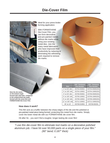## **Die-Cover Film**



Ideal for your press-brake forming application.

With FORMATHANE Die-Cover Film, you can form decorative and pre-painted metals without die marks while using your existing metal dies. Join the many metal fabricators who have improved their productivity by reducing or eliminating the refinishing work required to remove die marks.

*Note the die marks on the bottom angle formed with steel dies, compared to the unblemished top angle, formed with the same dies and FORMATHANE Die-Cover Film.*

**REAL PROPERTY AND** 

| <b>Size</b>       | .020" Thickness<br><b>Part Number</b> | .031" Thickness<br><b>Part Number</b> |
|-------------------|---------------------------------------|---------------------------------------|
| 4" on 50' rolls   | DCF04-050652                          | DCF04-050652031                       |
| 4" on 100' rolls  | DCF04-100652                          | DCF04-100652031                       |
| 6" on 50' rolls   | DCF06-050652                          | DCF06-050652031                       |
| 6" on 100' rolls  | DCF06-100652                          | DCF06-100652031                       |
| 8" on 100' rolls  | DCF08-100652                          | DCF08-100652031                       |
| 12" on 100' rolls | DCF12-100652                          | DCF12-100652031                       |
| 36" on 10'        | DCF36-010652                          | DCF36-652031                          |

#### **How does it work?**

This film acts as a buffer between the sharp edges of the die and the polished or pre-painted metal piece being formed, protecting this metal from die marks. Simply cover the lower metal die with our FORMATHANE die cover film.

Hit after hit... you won't find a tougher, longer-lasting die cover film!

*"I use this die-cover fi lm to eliminate tool marks on a decorative polished aluminum job. I have hit over 50,000 parts on a single piece of your film." (90° bend; 0.187" thick)*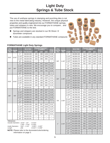## **Light Duty Springs & Tube Stock**

The use of urethane springs in stamping and punching dies is not new to the metal fabricating industry. However, the unique physical properties and quality engineered into our FORMATHANE springs, tubes and strippers is new. We encourage you to compare... and put FORMATHANE to the test.

- Springs and strippers are stocked in our 95 Shore 'A' durometer compound.
- Tubes are available in any standard FORMATHANE compound.

| Fits               |                                                                                                           |            | <b>95 A TAN</b>                                    |                   | <b>Pounds Required</b><br><sub>t</sub> o deflect |                          | <b>Bulge</b>             | <b>Fits</b>   |                        |            | <b>95 A TAN</b>    |                          | <b>Pounds Required</b><br>to deflect |                          | <b>Bulge</b>      |
|--------------------|-----------------------------------------------------------------------------------------------------------|------------|----------------------------------------------------|-------------------|--------------------------------------------------|--------------------------|--------------------------|---------------|------------------------|------------|--------------------|--------------------------|--------------------------------------|--------------------------|-------------------|
| Punch<br>Dia.      | Outside<br>Dia.                                                                                           | Length     | <b>Part Number</b>                                 | 1/8"              | 1/4"                                             | 1/2"                     | at 1/2"                  | Punch<br>Dia. | <b>Outside</b><br>Dia. | Length     | <b>Part Number</b> | 1/8"                     | 1/4"                                 | $1/2$ "                  | at 1/2"           |
|                    |                                                                                                           | 1"         | ML316-100                                          | 225               | 398                                              | 1234                     | 0.35                     |               |                        | 1"         | ML508-100          | 414                      | 677                                  | 1224                     | 0.43              |
| 3/16"              | 11/16"                                                                                                    | $1 - 1/4"$ | ML316-125                                          | 219               | 375                                              | 1036                     | 0.25                     |               |                        | $1 - 1/4"$ | ML508-125          | 369                      | 609                                  | 1169                     | 0.34              |
|                    |                                                                                                           | $1 - 1/2"$ | ML316-150                                          | 215               | 359                                              | 904                      | 0.20                     |               |                        | $1 - 1/2"$ | ML508-150          | 339                      | 564                                  | 1133                     | 0.28              |
|                    |                                                                                                           | 12"        | ML316-12L                                          | $\qquad \qquad -$ | $\qquad \qquad -$                                | $\overline{\phantom{0}}$ |                          | 5/8"          | $1 - 1/8"$             | $1 - 3/4"$ | ML508-175          | 317                      | 531                                  | 1107                     | 0.23              |
|                    |                                                                                                           | 1"         | ML104-100                                          | 240               | 447                                              | 1101                     | 0.41                     |               |                        | 2"         | ML508-200          | 301                      | 507                                  | 1087                     | 0.20              |
|                    |                                                                                                           | $1 - 1/4"$ | ML104-125                                          | 224               | 410                                              | 975                      | 0.30                     |               |                        | 12"        | ML508-12L          | $\overline{\phantom{0}}$ | $\overline{\phantom{0}}$             | $\overline{\phantom{0}}$ | $\qquad \qquad -$ |
| 1/4"               | 3/4"                                                                                                      | $1 - 1/2"$ | ML104-150                                          | 208               | 367                                              | 790                      | 0.24                     |               |                        | 24"        | ML508-24L          | $\qquad \qquad -$        | $\qquad \qquad -$                    | $\qquad \qquad -$        | $\qquad \qquad -$ |
|                    |                                                                                                           | $1 - 3/4"$ | ML104-175                                          | 195               | 344                                              | 703                      | 0.23                     |               |                        | $1 - 1/4"$ | ML304-125          | 507                      | 859                                  | 1725                     | 0.51              |
|                    |                                                                                                           | 12"        | ML104-12L                                          |                   |                                                  | $\overline{\phantom{0}}$ |                          |               | $1 - 3/8"$             | $1 - 1/2"$ | ML304-150          | 471                      | 800                                  | 1623                     | 0.41              |
|                    |                                                                                                           | 1"         | ML516-100                                          | 288               | 491                                              | 1189                     | 0.42                     |               |                        | $1 - 3/4"$ | ML304-175          | 446                      | 758                                  | 1550                     | 0.34              |
|                    |                                                                                                           | $1 - 1/4"$ | ML516-125                                          | 264               | 448                                              | 1037                     | 0.31                     | 3/4"          |                        | 2"         | ML304-200          | 427                      | 726                                  | 1495                     | 0.29              |
| 5/16"              | 13/16"                                                                                                    | $1 - 1/2"$ | ML516-150                                          | 248               | 419                                              | 936                      | 0.24                     |               |                        | $2 - 1/4"$ | ML304-225          | 412                      | 702                                  | 1452                     | 0.25              |
|                    |                                                                                                           | $1 - 3/4"$ | ML516-175                                          | 237               | 398                                              | 863                      | 0.19                     |               |                        | $2 - 1/2"$ | ML304-250          | 400                      | 682                                  | 1418                     | 0.22              |
|                    |                                                                                                           | 2"         | ML516-200                                          | 228               | 383                                              | 809                      | 0.15                     |               |                        | 12"        | ML304-12L          |                          | $\overline{\phantom{0}}$             |                          | $-$               |
|                    |                                                                                                           | 12"        | ML516-12L                                          |                   |                                                  |                          |                          |               |                        | 24"        | ML304-24L          |                          |                                      |                          |                   |
|                    |                                                                                                           | 1"         | ML308-100                                          | 293               | 495                                              | 1027                     | 0.26                     |               |                        | $1 - 1/4"$ | ML708-125          | 719                      | 1234                                 | 2619                     | 0.53              |
|                    |                                                                                                           | $1 - 1/4"$ | ML308-125                                          | 272               | 457                                              | 957                      | 0.22                     |               |                        | $1 - 1/2"$ | ML708-150          | 678                      | 1125                                 | 2363                     | 0.52              |
| 3/8"               | 7/8"                                                                                                      | $1 - 1/2"$ | ML308-150                                          | 258               | 431                                              | 910                      | 0.20                     |               |                        | $1 - 3/4"$ | ML708-175          | 631                      | 1057                                 | 2213                     | 0.47              |
|                    |                                                                                                           | $1 - 3/4"$ | ML308-175                                          | 248               | 413                                              | 876                      | 0.18                     |               |                        | 2"         | ML708-200          | 618                      | 1032                                 | 2141                     | 0.35              |
|                    |                                                                                                           | 2"         | ML308-200                                          | 240               | 399                                              | 851                      | 0.17                     | 7/8"          |                        | $2 - 1/4"$ | ML708-225          | 591                      | 1000                                 | 2072                     | 0.28              |
|                    |                                                                                                           | 12"        | ML308-12L                                          |                   |                                                  | $\overline{\phantom{m}}$ |                          |               | $1 - 5/8"$             | $2 - 1/2"$ | ML708-250          | 549                      | 927                                  | 1846                     | 0.25              |
|                    |                                                                                                           | 1"         | ML102-100                                          | 340               | 567                                              | 1143                     | 0.41                     |               |                        | $2 - 3/4"$ | ML708-275          | 541                      | 899                                  | 1741                     | 0.21              |
|                    |                                                                                                           | $1 - 1/4"$ | ML102-125                                          | 279               | 478                                              | 1025                     | 0.39                     |               |                        | 3"         | ML708-300          | 520                      | 889                                  | 1720                     | 0.18              |
|                    |                                                                                                           | $1 - 1/2"$ | ML102-150                                          | 239               | 418                                              | 946                      | 0.37                     |               |                        | 12"        | ML708-12L          | $\equiv$                 | $\equiv$                             | $\equiv$                 | $\equiv$          |
| 1/2"               | 1"                                                                                                        | $1 - 3/4"$ | ML102-175                                          | 231               | 397                                              | 878                      | 0.24                     |               |                        | 24"        | ML708-24L          | $\overline{\phantom{0}}$ |                                      |                          |                   |
|                    |                                                                                                           | 2"         | ML102-200                                          | 213               | 369                                              | 834                      | 0.21                     |               |                        | $1 - 1/4"$ | ML1000-125         | 854                      | 1412                                 | 2782                     | 0.55              |
|                    |                                                                                                           | 12"        | ML102-12L                                          |                   |                                                  | $\overline{\phantom{0}}$ | $\overline{\phantom{0}}$ |               |                        | $1 - 1/2"$ | ML1000-150         | 790                      | 1314                                 | 2588                     | 0.45              |
|                    |                                                                                                           | 24"        | ML102-24L                                          |                   |                                                  | $\qquad \qquad -$        | $\qquad \qquad -$        |               |                        | $1 - 3/4"$ | ML1000-175         | 744                      | 1244                                 | 2450                     | 0.38              |
| <b>Tolerances:</b> |                                                                                                           |            |                                                    |                   |                                                  |                          |                          |               |                        | 2"         | ML1000-200         | 710                      | 1192                                 | 2346                     | 0.33              |
|                    | Outside Diameters 11/16" - 1/2"<br>± 0.015"                                                               |            |                                                    |                   |                                                  |                          |                          | 1"            | $1 - 3/4"$             | $2 - 1/4"$ | ML1000-225         | 683                      | 1151                                 | 2265                     | 0.29              |
|                    | $1 - 5/8" - 2 - 3/4"$<br>± 0.020"<br>$3/16" - 1-1/2"$<br>$-0.005"$ / $-0.020"$<br><b>Inside Diameters</b> |            |                                                    |                   |                                                  |                          |                          |               |                        | $2 - 1/2"$ | ML1000-250         | 662                      | 1119                                 | 2201                     | 0.26              |
| Length             | $+0.015''/ + 0.046''$<br>(AII)                                                                            |            |                                                    |                   |                                                  |                          |                          |               |                        | $2 - 3/4"$ | ML1000-275         | 644                      | 1092                                 | 2148                     | 0.23              |
|                    |                                                                                                           |            | NOTE: Please refer to the durometer/color/ordering |                   |                                                  |                          |                          |               |                        | 12"        | ML1000-12L         |                          |                                      |                          |                   |
|                    |                                                                                                           |            | information on page 3.                             |                   |                                                  |                          |                          |               |                        | 24"        | ML1000-24L         |                          |                                      |                          |                   |

#### **FORMATHANE Light Duty Springs**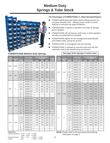## **Medium Duty Springs & Tube Stock**



#### **The Advantages of FORMATHANE vs. Metal Springs/Strippers**

- **FORMATHANE generates higher blank-holding pressure for**  any given diameter size... allowing closer center-to-center spacing to overcome die space limitations.
- **FORMATHANE** is quieter in operation and helps to dampen punch vibration.
- **FORMATHANE** will not fracture under load, so both operators and dies are protected from shrapnel.
- **FORMATHANE adjusts for die misalignment automatically** and installs easily, saving set-up time.
- **FORMATHANE** is nonmagnetic and non-marring.
- FORMATHANE is resistant to corrosion and most oils and chemicals used in the metalforming environment.

#### **FORMATHANE Medium Duty Springs**

*See page 15 for Springs in metric sizes.*

| <b>Fits</b><br>Punch | <b>Outside</b> |            | <b>95 A TAN</b>    | <b>Pounds Required</b><br>to deflect |                          |      | <b>Bulge</b>             |
|----------------------|----------------|------------|--------------------|--------------------------------------|--------------------------|------|--------------------------|
| Dia.                 | Dia.           | Length     | <b>Part Number</b> | 1/8"                                 | 1/4"                     | 3/8" | at 3/8"                  |
|                      |                | 1"         | MM316-100          | 334                                  | 634                      | 1125 | 0.24                     |
| 3/16"                | 13/16"         | $1 - 1/4"$ | MM316-125          | 307                                  | 569                      | 983  | 0.19                     |
|                      |                | $1 - 1/2"$ | MM316-150          | 289                                  | 526                      | 889  | 0.16                     |
|                      |                | 12"        | MM316-12L          |                                      |                          |      |                          |
|                      |                | 1"         | MM104-100          | 359                                  | 671                      | 1294 | 0.27                     |
| 1/4"                 | 7/8"           | $1 - 1/4"$ | MM104-125          | 329                                  | 603                      | 1131 | 0.22                     |
|                      |                | $1 - 1/2"$ | MM104-150          | 309                                  | 558                      | 1022 | 0.19                     |
|                      |                | 12"        | MM104-12L          |                                      |                          |      |                          |
|                      |                | 1"         | MM308-100          | 436                                  | 802                      | 1501 | 0.31                     |
|                      |                | $1 - 1/4"$ | MM308-125          | 396                                  | 716                      | 1265 | 0.23                     |
| 3/8"                 |                | $1 - 1/2"$ | MM308-150          | 370                                  | 659                      | 1108 | 0.18                     |
|                      | 1"             | $1 - 3/4"$ | MM308-175          | 351                                  | 618                      | 996  | 0.15                     |
|                      |                | 2"         | MM308-200          | 337                                  | 587                      | 912  | 0.12                     |
|                      |                | 12"        | MM308-12L          |                                      |                          |      |                          |
|                      |                | 24"        | MM308-24L          | -                                    | $\overline{\phantom{0}}$ |      |                          |
|                      |                | 1"         | MM102-100          | 531                                  | 958                      | 1709 | 0.36                     |
|                      |                | $1 - 1/4"$ | MM102-125          | 486                                  | 866                      | 1475 | 0.28                     |
|                      |                | $1 - 1/2"$ | MM102-150          | 456                                  | 805                      | 1318 | 0.22                     |
| 1/2"                 | $1 - 1/8"$     | $1 - 3/4"$ | MM102-175          | 434                                  | 762                      | 1207 | 0.18                     |
|                      |                | 2"         | MM102-200          | 418                                  | 729                      | 1123 | 0.16                     |
|                      |                | 12"        | MM102-12L          |                                      |                          |      |                          |
|                      |                | 24"        | MM102-24L          |                                      |                          |      |                          |
|                      |                | 1"         | MM508-100          | 584                                  | 1058                     | 1855 | 0.38                     |
|                      |                | $1 - 1/4"$ | MM508-125          | 578                                  | 982                      | 1624 | 0.31                     |
|                      |                | $1 - 1/2"$ | MM508-150          | 459                                  | 797                      | 1310 | 0.28                     |
| 5/8"                 | $1 - 1/4"$     | $1 - 3/4"$ | MM508-175          | 445                                  | 749                      | 1232 | 0.21                     |
|                      |                | 2"         | MM508-200          | 427                                  | 709                      | 1185 | 0.17                     |
|                      |                | 12"        | MM508-12L          |                                      |                          |      |                          |
|                      |                | 24"        | MM508-24L          | -                                    | -                        |      | $\overline{\phantom{0}}$ |

| <b>Fits</b><br><b>Punch</b> | <b>Outside</b> |               | <b>95 A TAN</b>    |      | <b>Pounds Required</b><br>to deflect |      | <b>Bulge</b> |
|-----------------------------|----------------|---------------|--------------------|------|--------------------------------------|------|--------------|
| Dia.                        | Dia.           | <u>Length</u> | <b>Part Number</b> | 1/8" | 1/4"                                 | 3/8" | at 3/8"      |
|                             |                | $1 - 1/4"$    | MM304-125          | 792  | 1406                                 | 2390 | 0.35         |
|                             |                | $1 - 1/2"$    | MM304-150          | 723  | 1279                                 | 2105 | 0.28         |
|                             |                | $1 - 3/4"$    | MM304-175          | 674  | 1188                                 | 1902 | 0.23         |
|                             |                | 2"            | MM304-200          | 637  | 1119                                 | 1749 | 0.20         |
| 3/4"                        | $1 - 1/2"$     | $2 - 1/4"$    | MM304-225          | 609  | 1066                                 | 1631 | 0.17         |
|                             |                | $2 - 1/2"$    | MM304-250          | 586  | 1024                                 | 1536 | 0.15         |
|                             |                | $2 - 3/4"$    | MM304-275          | 567  | 989                                  | 1458 | 0.13         |
|                             |                | 12"           | MM304-12L          |      |                                      |      |              |
|                             |                | 24"           | MM304-24L          |      |                                      |      |              |
|                             |                | $1 - 1/2"$    | MM708-150          | 1037 | 1885                                 | 3202 | 0.37         |
|                             |                | $1 - 3/4"$    | MM708-175          | 933  | 1685                                 | 2780 | 0.30         |
|                             |                | 2"            | MM708-200          | 856  | 1535                                 | 2464 | 0.26         |
|                             |                | $2 - 1/4"$    | MM708-225          | 795  | 1418                                 | 2218 | 0.22         |
| 7/8"                        | $1 - 3/4"$     | $2 - 1/2"$    | MM708-250          | 747  | 1324                                 | 2021 | 0.19         |
|                             |                | $2 - 3/4"$    | MM708-275          | 707  | 1248                                 | 1860 | 0.16         |
|                             |                | 3"            | MM708-300          | 674  | 1184                                 | 1726 | 0.14         |
|                             |                | 12"           | MM708-12L          | —    |                                      |      |              |
|                             |                | 24"           | MM708-24L          |      |                                      |      |              |
|                             |                | $1 - 1/4"$    | MM1000-125         | 1308 | 2427                                 | 4111 | 0.38         |
|                             |                | $1 - 1/2"$    | MM1000-150         | 1060 | 1983                                 | 3330 | 0.34         |
|                             |                | $1 - 3/4"$    | MM1000-175         | 965  | 1791                                 | 2911 | 0.30         |
|                             |                | 2"            | MM1000-200         | 949  | 1680                                 | 2624 | 0.25         |
|                             |                | $2 - 1/4"$    | MM1000-225         | 813  | 1517                                 | 2367 | 0.23         |
| 1"                          | 2"             | $2 - 1/2"$    | MM1000-250         | 805  | 1482                                 | 2262 | 0.22         |
|                             |                | $2 - 3/4"$    | MM1000-275         | 768  | 1400                                 | 2121 | 0.18         |
|                             |                | 3"            | MM1000-300         | 755  | 1378                                 | 1985 | 0.16         |
|                             |                | 4"            | MM1000-400         | 750  | 1368                                 | 1963 | 0.11         |
|                             |                | 12"           | MM1000-12L         |      |                                      |      |              |
|                             |                | 24"           | MM1000-24L         | -    |                                      |      |              |

**NOTE:** Please refer to the durometer/color/ordering information on page 3.

*Tolerances:*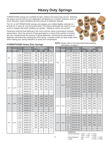## **Heavy Duty Springs**

FORMATHANE springs are available for light, medium and heavy duty service. Selecting the proper service level for your application will depend on a number of factors, such as stock thickness, space limitations and the amount of deflection desired.

The I.D. of all FORMATHANE springs and strippers are molded slightly undersize to provide for a "press fit" onto the punch body. This feature eliminates the need for a set screw or stripper bolt when installing our springs - helping to reduce set-up time.

Hysteresis (internal heat build-up) is the most common cause of premature urethane spring failure. Since the amount of heat generated is a result of the number of strokes per hour combined with the amount of spring deflection, minimizing the percentage of deflection will extend the working life of the spring. Carefully review our load range charts when making your spring selections to avoid over-compression.

#### **NOTE:** Please refer to the durometer/color/ordering information on page 3.

*Length (All) + 0.015" / +0.046"*

| <b>Fits</b> | <b>Punch Outside</b> |            | <b>95 A TAN</b>    |                          | <b>Pounds Required</b><br>to deflect |                                                     | <b>Bulge</b>             |                                                                                                                                                                                                                                                                                                                                                                                                                                                                                                                                                                                                                                                                                                                                                                                                                                                                                                                                                                                                                                                                                                                                                                                                                                                                                                                                                                                                                                                                                                                                                                       | <b>Fits</b> |            |            | <b>95 A TAN</b>                                |                              | <b>Pounds Required</b>   |                          | <b>Bulge</b>        |      |
|-------------|----------------------|------------|--------------------|--------------------------|--------------------------------------|-----------------------------------------------------|--------------------------|-----------------------------------------------------------------------------------------------------------------------------------------------------------------------------------------------------------------------------------------------------------------------------------------------------------------------------------------------------------------------------------------------------------------------------------------------------------------------------------------------------------------------------------------------------------------------------------------------------------------------------------------------------------------------------------------------------------------------------------------------------------------------------------------------------------------------------------------------------------------------------------------------------------------------------------------------------------------------------------------------------------------------------------------------------------------------------------------------------------------------------------------------------------------------------------------------------------------------------------------------------------------------------------------------------------------------------------------------------------------------------------------------------------------------------------------------------------------------------------------------------------------------------------------------------------------------|-------------|------------|------------|------------------------------------------------|------------------------------|--------------------------|--------------------------|---------------------|------|
| Dia.        | Dia.                 | Length     | <b>Part Number</b> | 1/8"                     | 1/4"                                 | 3/8"                                                | at 3/8"                  |                                                                                                                                                                                                                                                                                                                                                                                                                                                                                                                                                                                                                                                                                                                                                                                                                                                                                                                                                                                                                                                                                                                                                                                                                                                                                                                                                                                                                                                                                                                                                                       |             | Dia.       | Length     | <b>Part Number</b>                             | 1/8"                         | 1/4"                     | 3/8"                     | at 3/8"             |      |
|             |                      | 1"         | MH104-100          | 418                      | 808                                  | 1543                                                | 0.28                     |                                                                                                                                                                                                                                                                                                                                                                                                                                                                                                                                                                                                                                                                                                                                                                                                                                                                                                                                                                                                                                                                                                                                                                                                                                                                                                                                                                                                                                                                                                                                                                       |             |            | $1 - 1/2"$ | MH708-150                                      | 1364                         | 2467                     | 4079                     | 0.32                |      |
|             |                      | $1 - 1/4"$ | MH104-125          | 389                      | 721                                  | 1266                                                | 0.19                     |                                                                                                                                                                                                                                                                                                                                                                                                                                                                                                                                                                                                                                                                                                                                                                                                                                                                                                                                                                                                                                                                                                                                                                                                                                                                                                                                                                                                                                                                                                                                                                       |             |            | $1 - 3/4"$ | MH708-175                                      | 1253                         | 2254                     | 3630                     | 0.27                |      |
| 1/4"        | 1"                   | $1 - 1/2"$ | MH104-150          | 354                      | 648                                  | 1082                                                | 0.17                     |                                                                                                                                                                                                                                                                                                                                                                                                                                                                                                                                                                                                                                                                                                                                                                                                                                                                                                                                                                                                                                                                                                                                                                                                                                                                                                                                                                                                                                                                                                                                                                       |             |            | 2"         | MH708-200                                      | 1170                         | 2095                     | 3294                     | 0.24                |      |
|             |                      | $1 - 3/4"$ | MH104-175          | 331                      | 587                                  | 933                                                 | 0.15                     |                                                                                                                                                                                                                                                                                                                                                                                                                                                                                                                                                                                                                                                                                                                                                                                                                                                                                                                                                                                                                                                                                                                                                                                                                                                                                                                                                                                                                                                                                                                                                                       |             |            | $2 - 1/4"$ | MH708-225                                      | 1105                         | 1970                     | 3032                     | 0.21                |      |
|             |                      | 12"        | MH104-12L          | $\qquad \qquad -$        | $\overline{\phantom{0}}$             | $\equiv$                                            | $\overline{\phantom{0}}$ | to deflect<br><b>Punch</b><br><b>Outside</b><br>Dia.<br>7/8"<br>2"<br>$2 - 1/2"$<br>MH708-250<br>1054<br>1871<br>2823<br>$2 - 3/4"$<br>MH708-275<br>1790<br>2652<br>1011<br>3"<br>1722<br>2509<br>MH708-300<br>976<br>12"<br>MH708-12L<br>$\overline{\phantom{0}}$<br>$\overline{\phantom{0}}$<br>$\overline{\phantom{0}}$<br>24"<br>MH708-24L<br>$\overline{\phantom{0}}$<br>$\equiv$<br>$1 - 1/2"$<br>MH1000-150<br>1480<br>4582<br>2777<br>$1 - 3/4"$<br>MH1000-175<br>1363<br>2529<br>4129<br>2"<br>1275<br>2343<br>3790<br>MH1000-200<br>$2 - 1/4"$<br>MH1000-225<br>1207<br>2199<br>3525<br>$2 - 1/2"$<br>MH1000-250<br>1152<br>2083<br>3314<br>1"<br>$2 - 1/4"$<br>$2 - 3/4"$<br>MH1000-275<br>1077<br>1958<br>3061<br>3"<br>1853<br>2851<br>MH1000-300<br>1014<br>4"<br>MH1000-400<br>1566<br>2272<br>841<br>12"<br>MH1000-12L<br>$\qquad \qquad -$<br>$\equiv$<br>$\overline{\phantom{0}}$<br>24"<br>MH1000-24L<br>$\overline{\phantom{0}}$<br>$\qquad \qquad -$<br>$\overline{\phantom{0}}$<br>2"<br>MH1104-200<br>1674<br>36009<br>4637<br>$2 - 1/4"$<br>MH1104-225<br>1562<br>2810<br>4264<br>$2 - 1/2"$<br>MH1104-250<br>1473<br>2650<br>3966<br>$2 - 3/4"$<br>MH1104-275<br>1400<br>2520<br>3721<br>$1 - 1/4"$<br>$2 - 1/2"$<br>3"<br>MH1104-300<br>1339<br>2411<br>3518<br>12"<br>MH1104-12L<br>$\qquad \qquad -$<br>$\qquad \qquad -$<br>$\overline{\phantom{0}}$<br>24"<br>MH1104-24L<br>$\qquad \qquad -$<br>$\qquad \qquad -$<br>$\qquad \qquad -$<br>2"<br>MH1102-200<br>1656<br>3081<br>4795<br>$2 - 1/4"$<br>MH1102-225<br>1575<br>2917<br>4440 |             | 0.18       |            |                                                |                              |                          |                          |                     |      |
|             |                      | 1"         | MH308-100          | 613                      | 1109                                 | 2071                                                | 0.34                     |                                                                                                                                                                                                                                                                                                                                                                                                                                                                                                                                                                                                                                                                                                                                                                                                                                                                                                                                                                                                                                                                                                                                                                                                                                                                                                                                                                                                                                                                                                                                                                       |             |            |            |                                                |                              |                          |                          | 0.17                |      |
|             |                      | $1 - 1/4"$ | MH308-125          | 554                      | 983                                  | 1729                                                | 0.27                     |                                                                                                                                                                                                                                                                                                                                                                                                                                                                                                                                                                                                                                                                                                                                                                                                                                                                                                                                                                                                                                                                                                                                                                                                                                                                                                                                                                                                                                                                                                                                                                       |             |            |            |                                                |                              |                          |                          | 0.15                |      |
| 3/8"        | $1 - 1/8"$           | $1 - 1/2"$ | MH308-150          | 514                      | 899                                  | 1501                                                | 0.22                     |                                                                                                                                                                                                                                                                                                                                                                                                                                                                                                                                                                                                                                                                                                                                                                                                                                                                                                                                                                                                                                                                                                                                                                                                                                                                                                                                                                                                                                                                                                                                                                       |             |            |            |                                                |                              |                          |                          | -                   |      |
|             |                      | $1 - 3/4"$ | MH308-175          | 486                      | 839                                  | 1338                                                | 0.19                     |                                                                                                                                                                                                                                                                                                                                                                                                                                                                                                                                                                                                                                                                                                                                                                                                                                                                                                                                                                                                                                                                                                                                                                                                                                                                                                                                                                                                                                                                                                                                                                       |             |            |            |                                                |                              |                          |                          | $\equiv$            |      |
|             |                      | 2"         | MH308-200          | 465                      | 794                                  | 1216                                                | 0.16                     |                                                                                                                                                                                                                                                                                                                                                                                                                                                                                                                                                                                                                                                                                                                                                                                                                                                                                                                                                                                                                                                                                                                                                                                                                                                                                                                                                                                                                                                                                                                                                                       |             |            |            |                                                |                              |                          |                          | 0.33                |      |
|             |                      | 12"        | MH308-12L          | $\overline{\phantom{m}}$ |                                      | $\overline{\phantom{0}}$                            |                          |                                                                                                                                                                                                                                                                                                                                                                                                                                                                                                                                                                                                                                                                                                                                                                                                                                                                                                                                                                                                                                                                                                                                                                                                                                                                                                                                                                                                                                                                                                                                                                       |             |            |            |                                                |                              |                          |                          | 0.28                |      |
|             |                      | 1"         | MH102-100          | 597                      | 1155                                 | 2188                                                | 0.35                     |                                                                                                                                                                                                                                                                                                                                                                                                                                                                                                                                                                                                                                                                                                                                                                                                                                                                                                                                                                                                                                                                                                                                                                                                                                                                                                                                                                                                                                                                                                                                                                       |             |            |            |                                                |                              |                          |                          | 0.25                |      |
|             |                      | $1 - 1/4"$ | MH102-125          | 532                      | 1001                                 | 1793                                                | 0.27                     |                                                                                                                                                                                                                                                                                                                                                                                                                                                                                                                                                                                                                                                                                                                                                                                                                                                                                                                                                                                                                                                                                                                                                                                                                                                                                                                                                                                                                                                                                                                                                                       |             |            |            |                                                |                              |                          |                          |                     | 0.22 |
|             |                      | $1 - 1/2"$ | MH102-150          | 489                      | 898                                  | 1529                                                | 0.22                     |                                                                                                                                                                                                                                                                                                                                                                                                                                                                                                                                                                                                                                                                                                                                                                                                                                                                                                                                                                                                                                                                                                                                                                                                                                                                                                                                                                                                                                                                                                                                                                       |             |            |            |                                                |                              |                          |                          | 0.20                |      |
|             |                      | $1 - 3/4"$ | MH102-175          | 458                      | 824                                  | 1341                                                | 0.18                     |                                                                                                                                                                                                                                                                                                                                                                                                                                                                                                                                                                                                                                                                                                                                                                                                                                                                                                                                                                                                                                                                                                                                                                                                                                                                                                                                                                                                                                                                                                                                                                       |             |            |            |                                                |                              |                          |                          | 0.18                |      |
| 1/2"        | $1 - 1/4"$           | 2"         | MH102-200          | 435                      | 769                                  | 1200                                                | 0.15                     |                                                                                                                                                                                                                                                                                                                                                                                                                                                                                                                                                                                                                                                                                                                                                                                                                                                                                                                                                                                                                                                                                                                                                                                                                                                                                                                                                                                                                                                                                                                                                                       |             |            |            |                                                |                              |                          |                          | 0.16                |      |
|             |                      | 12"        | MH102-12L          | $\qquad \qquad -$        | $\overline{\phantom{0}}$             | $\equiv$                                            | $\overline{\phantom{0}}$ |                                                                                                                                                                                                                                                                                                                                                                                                                                                                                                                                                                                                                                                                                                                                                                                                                                                                                                                                                                                                                                                                                                                                                                                                                                                                                                                                                                                                                                                                                                                                                                       |             |            |            |                                                |                              |                          |                          | 0.12                |      |
|             |                      | 24"        | MH102-24L          | $\qquad \qquad -$        | $\equiv$                             | $\overline{\phantom{0}}$                            | $\overline{\phantom{0}}$ |                                                                                                                                                                                                                                                                                                                                                                                                                                                                                                                                                                                                                                                                                                                                                                                                                                                                                                                                                                                                                                                                                                                                                                                                                                                                                                                                                                                                                                                                                                                                                                       |             |            |            |                                                |                              |                          |                          | $\qquad \qquad -$   |      |
|             |                      | 1"         | MH508-100          | 796                      | 1409                                 | 2462                                                | 0.39                     |                                                                                                                                                                                                                                                                                                                                                                                                                                                                                                                                                                                                                                                                                                                                                                                                                                                                                                                                                                                                                                                                                                                                                                                                                                                                                                                                                                                                                                                                                                                                                                       |             |            |            |                                                |                              |                          |                          | $\qquad \qquad -$   |      |
|             |                      | $1 - 1/4"$ | MH508-125          | 721                      | 1269                                 | 2129                                                | 0.31                     |                                                                                                                                                                                                                                                                                                                                                                                                                                                                                                                                                                                                                                                                                                                                                                                                                                                                                                                                                                                                                                                                                                                                                                                                                                                                                                                                                                                                                                                                                                                                                                       |             |            |            |                                                |                              |                          |                          | 0.30                |      |
|             |                      | $1 - 1/2"$ | MH508-150          | 671                      | 1175                                 | 1907                                                | 0.26                     |                                                                                                                                                                                                                                                                                                                                                                                                                                                                                                                                                                                                                                                                                                                                                                                                                                                                                                                                                                                                                                                                                                                                                                                                                                                                                                                                                                                                                                                                                                                                                                       |             |            |            |                                                |                              |                          |                          |                     | 0.26 |
| 5/8"        | $1 - 3/8"$           | $1 - 3/4"$ | MH508-175          | 636                      | 1108                                 | 1749                                                | 0.23                     |                                                                                                                                                                                                                                                                                                                                                                                                                                                                                                                                                                                                                                                                                                                                                                                                                                                                                                                                                                                                                                                                                                                                                                                                                                                                                                                                                                                                                                                                                                                                                                       |             |            |            |                                                |                              |                          |                          | 0.23                |      |
|             |                      | 2"         | MH508-200          | 609                      | 1058                                 | 1630                                                | 0.20                     |                                                                                                                                                                                                                                                                                                                                                                                                                                                                                                                                                                                                                                                                                                                                                                                                                                                                                                                                                                                                                                                                                                                                                                                                                                                                                                                                                                                                                                                                                                                                                                       |             |            |            |                                                |                              |                          |                          | 0.21                |      |
|             |                      | 12"        | MH508-12L          | $\qquad \qquad -$        | $\equiv$                             | $\qquad \qquad -$                                   | $\equiv$                 |                                                                                                                                                                                                                                                                                                                                                                                                                                                                                                                                                                                                                                                                                                                                                                                                                                                                                                                                                                                                                                                                                                                                                                                                                                                                                                                                                                                                                                                                                                                                                                       |             |            |            |                                                |                              |                          |                          | 0.19                |      |
|             |                      | 24"        | MH508-24L          | $\qquad \qquad -$        | $\qquad \qquad -$                    | $\overline{\phantom{m}}$                            | $\qquad \qquad -$        |                                                                                                                                                                                                                                                                                                                                                                                                                                                                                                                                                                                                                                                                                                                                                                                                                                                                                                                                                                                                                                                                                                                                                                                                                                                                                                                                                                                                                                                                                                                                                                       |             |            |            |                                                |                              |                          |                          | $\qquad \qquad -$   |      |
|             |                      | $1 - 1/4"$ | MH304-125          | 1167                     | 2130                                 | 3682                                                | 0.34                     |                                                                                                                                                                                                                                                                                                                                                                                                                                                                                                                                                                                                                                                                                                                                                                                                                                                                                                                                                                                                                                                                                                                                                                                                                                                                                                                                                                                                                                                                                                                                                                       |             |            |            |                                                |                              |                          |                          | $\qquad \qquad -$   |      |
|             |                      | $1 - 1/2"$ | MH304-150          | 1056                     | 1909                                 | 3191                                                | 0.28                     |                                                                                                                                                                                                                                                                                                                                                                                                                                                                                                                                                                                                                                                                                                                                                                                                                                                                                                                                                                                                                                                                                                                                                                                                                                                                                                                                                                                                                                                                                                                                                                       |             |            |            |                                                |                              |                          |                          | 0.28                |      |
|             |                      | $1 - 3/4"$ | MH304-175          | 976                      | 1751                                 | 2841                                                | 0.24                     |                                                                                                                                                                                                                                                                                                                                                                                                                                                                                                                                                                                                                                                                                                                                                                                                                                                                                                                                                                                                                                                                                                                                                                                                                                                                                                                                                                                                                                                                                                                                                                       |             |            |            |                                                |                              |                          |                          | 0.27                |      |
|             |                      | 2"         | MH304-200          | 917                      | 1632                                 | 2578                                                | 0.21                     |                                                                                                                                                                                                                                                                                                                                                                                                                                                                                                                                                                                                                                                                                                                                                                                                                                                                                                                                                                                                                                                                                                                                                                                                                                                                                                                                                                                                                                                                                                                                                                       |             |            | $2 - 1/2"$ | MH1102-250                                     | 1561                         | 2794                     | 4157                     | 0.26                |      |
| 3/4"        | $1 - 3/4"$           | $2 - 1/4"$ | MH304-225          | 870                      | 1540                                 | 2373                                                | 0.19                     |                                                                                                                                                                                                                                                                                                                                                                                                                                                                                                                                                                                                                                                                                                                                                                                                                                                                                                                                                                                                                                                                                                                                                                                                                                                                                                                                                                                                                                                                                                                                                                       | $1 - 1/2"$  | $2 - 3/4"$ | $2 - 3/4"$ | MH1102-275                                     | 1495                         | 2666                     | 3917                     | 0.25                |      |
|             |                      | $2 - 1/2"$ | MH304-250          | 833                      | 1466                                 | 2210                                                | 0.17                     |                                                                                                                                                                                                                                                                                                                                                                                                                                                                                                                                                                                                                                                                                                                                                                                                                                                                                                                                                                                                                                                                                                                                                                                                                                                                                                                                                                                                                                                                                                                                                                       |             |            | 3"         | MH1102-300                                     | 1300                         | 2424                     | 3586                     | 0.21                |      |
|             |                      | $2 - 3/4"$ | MH304-275          | 803                      | 1406                                 | 2076                                                | 0.15                     |                                                                                                                                                                                                                                                                                                                                                                                                                                                                                                                                                                                                                                                                                                                                                                                                                                                                                                                                                                                                                                                                                                                                                                                                                                                                                                                                                                                                                                                                                                                                                                       |             |            | 12"        | MH1102-12L                                     | $\equiv$                     | $\overline{\phantom{0}}$ | $\overline{\phantom{0}}$ | $\qquad \qquad -$   |      |
|             |                      | 12"        | MH304-12L          |                          | $\overline{\phantom{0}}$             | $\overline{\phantom{0}}$                            | -                        |                                                                                                                                                                                                                                                                                                                                                                                                                                                                                                                                                                                                                                                                                                                                                                                                                                                                                                                                                                                                                                                                                                                                                                                                                                                                                                                                                                                                                                                                                                                                                                       |             |            | 24"        | MH1102-24L                                     | $\overline{\phantom{0}}$     |                          |                          |                     |      |
|             |                      | 24"        | MH304-24L          | $\overline{\phantom{0}}$ |                                      | <b>Tolerances:</b><br>-<br>$\overline{\phantom{0}}$ |                          |                                                                                                                                                                                                                                                                                                                                                                                                                                                                                                                                                                                                                                                                                                                                                                                                                                                                                                                                                                                                                                                                                                                                                                                                                                                                                                                                                                                                                                                                                                                                                                       |             |            |            |                                                |                              |                          |                          |                     |      |
|             |                      |            |                    |                          |                                      |                                                     |                          |                                                                                                                                                                                                                                                                                                                                                                                                                                                                                                                                                                                                                                                                                                                                                                                                                                                                                                                                                                                                                                                                                                                                                                                                                                                                                                                                                                                                                                                                                                                                                                       |             |            |            | Outside Diameters $11/16" - 1-1/2" \pm 0.015"$ | $1-5/8" - 2-3/4" \pm 0.020"$ |                          |                          |                     |      |
|             |                      |            |                    |                          |                                      |                                                     |                          | 7                                                                                                                                                                                                                                                                                                                                                                                                                                                                                                                                                                                                                                                                                                                                                                                                                                                                                                                                                                                                                                                                                                                                                                                                                                                                                                                                                                                                                                                                                                                                                                     |             |            |            | <b>Inside Diameters</b>                        | $3/16" - 1-1/2"$             |                          |                          | - 0.005" / - 0.020' |      |

### **FORMATHANE Heavy Duty Springs**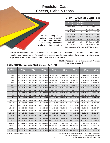## **Precision-Cast Sheets, Slabs & Discs**

#### **FORMATHANE Discs & Wear Pads**

Thickness tolerance ± .015"

| <b>85 A RED</b><br>Part# | <b>Diameter</b><br><b>Tolerance</b> | <b>Size</b>            |
|--------------------------|-------------------------------------|------------------------|
| MD-09-025R               | ± 1/8"                              | 9" dia. x 0.25" thick  |
| MD-12-025R               | ± 1/8"                              | 12" dia. x 0.25" thick |
| MD-15-025R               | ± 1/8"                              | 15" dia. x 0.25" thick |
| MD-20-025R               | ± 3/16"                             | 20" dia. x 0.25" thick |
| MD-25-025R               | ± 3/16"                             | 25" dia. x 0.25" thick |
| MD-26-025R               | ± 3/16"                             | 26" dia. x 0.25" thick |
| MD-27-025R               | ± 1/4"                              | 27" dia. x 0.25" thick |
| MD-32-025R               | ± 1/4"                              | 32" dia. x 0.25" thick |

For press designs using a round forming chamber, FORMATHANE precisioncast wear pad discs are available in eight diameters.

#### *Discs are stocked in PO-650 Red (85 A Durometer).*

FORMATHANE sheets are available in a wide range of sizes, thickness and hardnesses to meet your metalforming requirements. Forming blocks, pressure pads, wear pads or throw pads – whatever your application  $-$  a FORMATHANE sheet or slab will fill your needs.

> **NOTE:** Please refer to the durometer/color/ordering information on page 3.

| <b>Thickness</b><br><b>Tolerance</b><br>WxL | 1/16"<br>±.005" | 1/8"<br>±.010" | 3/16"<br>±.015" | 1/4"<br>±.015" | 3/8"<br>±.015" | 1/2"<br>±.015" | 5/8"<br>±.020" | 3/4"<br>±.020" |
|---------------------------------------------|-----------------|----------------|-----------------|----------------|----------------|----------------|----------------|----------------|
| $1 \times 48"$                              | MS-0148-006     | MS-0148-013    | MS-0148-019     | MS-0148-025    | MS-0148-038    | MS-0148-050    | MS-0148-063    | MS-0148-075    |
| $2 \times 48"$                              | MS-0248-006     | MS-0248-013    | MS-0248-019     | MS-0248-025    | MS-0248-038    | MS-0248-050    | MS-0248-063    | MS-0248-075    |
| $3 \times 48"$                              | MS-0348-006     | MS-0348-013    | MS-0348-019     | MS-0348-025    | MS-0348-038    | MS-0348-050    | MS-0348-063    | MS-0348-075    |
| 4 x 48"                                     | MS-0448-006     | MS-0448-013    | MS-0448-019     | MS-0448-025    | MS-0448-038    | MS-0448-050    | MS-0448-063    | MS-0448-075    |
| $6 \times 6"$                               | MS-0606-006     | MS-0606-013    | MS-0606-019     | MS-0606-025    | MS-0606-038    | MS-0606-050    | MS-0606-063    | MS-0606-075    |
| 6 x 12"                                     | MS-0612-006     | MS-0612-013    | MS-0612-019     | MS-0612-025    | MS-0612-038    | MS-0612-050    | MS-0612-063    | MS-0612-075    |
| 6 x 18"                                     | MS-0618-006     | MS-0618-013    | MS-0618-019     | MS-0618-025    | MS-0618-038    | MS-0618-050    | MS-0618-063    | MS-0618-075    |
| 6 x 24"                                     | MS-0624-006     | MS-0624-013    | MS-0624-019     | MS-0624-025    | MS-0624-038    | MS-0624-050    | MS-0624-063    | MS-0624-075    |
| 6 x 36"                                     | MS-0636-006     | MS-0636-013    | MS-0636-019     | MS-0636-025    | MS-0636-038    | MS-0636-050    | MS-0636-063    | MS-0636-075    |
| 6 x 48"                                     | MS-0648-006     | MS-0648-013    | MS-0648-019     | MS-0648-025    | MS-0648-038    | MS-0648-050    | MS-0648-063    | MS-0648-075    |
| 12 x 12"                                    | MS-1212-006     | MS-1212-013    | MS-1212-019     | MS-1212-025    | MS-1212-038    | MS-1212-050    | MS-1212-063    | MS-1212-075    |
| 12 x 18"                                    | MS-1218-006     | MS-1218-013    | MS-1218-019     | MS-1218-025    | MS-1218-038    | MS-1218-050    | MS-1218-063    | MS-1218-075    |
| $12 \times 24"$                             | MS-1224-006     | MS-1224-013    | MS-1224-019     | MS-1224-025    | MS-1224-038    | MS-1224-050    | MS-1224-063    | MS-1224-075    |
| $12 \times 36"$                             | MS-1236-006     | MS-1236-013    | MS-1236-019     | MS-1236-025    | MS-1236-038    | MS-1236-050    | MS-1236-063    | MS-1236-075    |
| $12 \times 48"$                             | MS-1248-006     | MS-1248-013    | MS-1248-019     | MS-1248-025    | MS-1248-038    | MS-1248-050    | MS-1248-063    | MS-1248-075    |
| $18 \times 18"$                             | MS-1818-006     | MS-1818-013    | MS-1818-019     | MS-1818-025    | MS-1818-038    | MS-1818-050    | MS-1818-063    | MS-1818-075    |
| 18 x 24"                                    | MS-1824-006     | MS-1824-013    | MS-1824-019     | MS-1824-025    | MS-1824-038    | MS-1824-050    | MS-1824-063    | MS-1824-075    |
| 18 x 36"                                    | MS-1836-006     | MS-1836-013    | MS-1836-019     | MS-1836-025    | MS-1836-038    | MS-1836-050    | MS-1836-063    | MS-1836-075    |
| $18 \times 48"$                             | MS-1848-006     | MS-1848-013    | MS-1848-019     | MS-1848-025    | MS-1848-038    | MS-1848-050    | MS-1848-063    | MS-1848-075    |
| 24 x 24"                                    | MS-2424-006     | MS-2424-013    | MS-2424-019     | MS-2424-025    | MS-2424-038    | MS-2424-050    | MS-2424-063    | MS-2424-075    |
| 24 x 36"                                    | MS-2436-006     | MS-2436-013    | MS-2436-019     | MS-2436-025    | MS-2436-038    | MS-2436-050    | MS-2436-063    | MS-2436-075    |
| 24 x 48"                                    | MS-2448-006     | MS-2448-013    | MS-2448-019     | MS-2448-025    | MS-2448-038    | MS-2448-050    | MS-2448-063    | MS-2448-075    |
| 36 x 36"                                    | MS-3636-006     | MS-3636-013    | MS-3636-019     | MS-3636-025    | MS-3636-038    | MS-3636-050    | MS-3636-063    | MS-3636-075    |

#### **FORMATHANE Precision-Cast Sheets - 95 A TAN**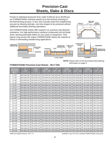## **Precision-Cast Sheets, Slabs & Discs**

Proven to withstand pressures from under 5,000 psi up to 30,000 psi, our FORMATHANE urethane stands up to the tortuous pressing of the fluid-forming process. In fact, they actually assist the metalforming process by allowing intricate, mar-free shapes to be produced without additional secondary finishing operations.

Our FORMATHANE sheets offer superior cut, puncture and abrasion resistance. Our high-performance urethane compounds will not break down, leaving particulate debris on your parts or equipment. Their typical, long service life makes FORMATHANE sheets the material of choice in demanding metalforming applications.



**NOTE:** Please refer to the durometer/color/ordering information on page 3.



#### **FORMATHANE Precision-Cast Sheets - 95 A TAN**

| <b>Thickness</b><br>Tolerance<br>WxL | 4"<br>±.020" | $1 - 1/4"$<br>±.025" | $1 - 1/2"$<br>$+ .015" / -.030"$ | 2"<br>$+ .015" / -.030"$ | $2 - 1/2"$<br>$+ .015" / -.035"$ | 3"<br>$+ .015" / -.060'$ | $3 - 1/2"$<br>$+ .015" / -.060"$ | 4"<br>$+ .015" / -.070"$ |
|--------------------------------------|--------------|----------------------|----------------------------------|--------------------------|----------------------------------|--------------------------|----------------------------------|--------------------------|
| $1 \times 48"$                       | MS-0148-100  | MS-0148-125          | MS-0148-150                      | MS-0148-200              | MS-0148-250                      | MS-0148-300              | MS-0148-350                      | MS-0148-400              |
| $2 \times 48"$                       | MS-0248-100  | MS-0248-125          | MS-0248-150                      | MS-0248-200              | MS-0248-250                      | MS-0248-300              | MS-0248-350                      | MS-0248-400              |
| $3 \times 48"$                       | MS-0348-100  | MS-0348-125          | MS-0348-150                      | MS-0348-200              | MS-0348-250                      | MS-0348-300              | MS-0348-350                      | MS-0348-400              |
| $4 \times 48"$                       | MS-0448-100  | MS-0448-125          | MS-0448-150                      | MS-0448-200              | MS-0448-250                      | MS-0448-300              | MS-0448-350                      | MS-0448-400              |
| $6 \times 6"$                        | MS-0606-100  | MS-0606-125          | MS-0606-150                      | MS-0606-200              | MS-0606-250                      | MS-0606-300              | MS-0606-350                      | MS-0606-400              |
| 6 x 12"                              | MS-0612-100  | MS-0612-125          | MS-0612-150                      | MS-0612-200              | MS-0612-250                      | MS-0612-300              | MS-0612-350                      | MS-0612-400              |
| 6 x 18"                              | MS-0618-100  | MS-0618-125          | MS-0618-150                      | MS-0618-200              | MS-0618-250                      | MS-0618-300              | MS-0618-350                      | MS-0618-400              |
| 6 x 24"                              | MS-0624-100  | MS-0624-125          | MS-0624-150                      | MS-0624-200              | MS-0624-250                      | MS-0624-300              | MS-0624-350                      | MS-0624-400              |
| 6 x 36"                              | MS-0636-100  | MS-0636-125          | MS-0636-150                      | MS-0636-200              | MS-0636-250                      | MS-0636-300              | MS-0636-350                      | MS-0636-400              |
| 6 x 48"                              | MS-0648-100  | MS-0648-125          | MS-0648-150                      | MS-0648-200              | MS-0648-250                      | MS-0648-300              | MS-0648-350                      | MS-0648-400              |
| 12 x 12"                             | MS-1212-100  | MS-1212-125          | MS-1212-150                      | MS-1212-200              | MS-1212-250                      | MS-1212-300              | MS-1212-350                      | MS-1212-400              |
| $12 \times 18"$                      | MS-1218-100  | MS-1218-125          | MS-1218-150                      | MS-1218-200              | MS-1218-250                      | MS-1218-300              | MS-1218-350                      | MS-1218-400              |
| $12 \times 24"$                      | MS-1224-100  | MS-1224-125          | MS-1224-150                      | MS-1224-200              | MS-1224-250                      | MS-1224-300              | MS-1224-350                      | MS-1224-400              |
| 12 x 36"                             | MS-1236-100  | MS-1236-125          | MS-1236-150                      | MS-1236-200              | MS-1236-250                      | MS-1236-300              | MS-1236-350                      | MS-1236-400              |
| 12 x 48"                             | MS-1248-100  | MS-1248-125          | MS-1248-150                      | MS-1248-200              | MS-1248-250                      | MS-1248-300              | MS-1248-350                      | MS-1248-400              |
| $18 \times 18"$                      | MS-1818-100  | MS-1818-125          | MS-1818-150                      | MS-1818-200              | MS-1818-250                      | MS-1818-300              | MS-1818-350                      | MS-1818-400              |
| $18 \times 24"$                      | MS-1824-100  | MS-1824-125          | MS-1824-150                      | MS-1824-200              | MS-1824-250                      | MS-1824-300              | MS-1824-350                      | MS-1824-400              |
| 18 x 36"                             | MS-1836-100  | MS-1836-125          | MS-1836-150                      | MS-1836-200              | MS-1836-250                      | MS-1836-300              | MS-1836-350                      | MS-1836-400              |
| 18 x 48"                             | MS-1848-100  | MS-1848-125          | MS-1848-150                      | MS-1848-200              | MS-1848-250                      | MS-1848-300              | MS-1848-350                      | MS-1848-400              |
| 24 x 24"                             | MS-2424-100  | MS-2424-125          | MS-2424-150                      | MS-2424-200              | MS-2424-250                      | MS-2424-300              | MS-2424-350                      | MS-2424-400              |
| 24 x 36"                             | MS-2436-100  | MS-2436-125          | MS-2436-150                      | MS-2436-200              | MS-2436-250                      | MS-2436-300              | MS-2436-350                      | MS-2436-400              |
| 24 x 48"                             | MS-2448-100  | MS-2448-125          | MS-2448-150                      | MS-2448-200              | MS-2448-250                      | MS-2448-300              | MS-2448-350                      | MS-2448-400              |
| 36 x 36"                             | MS-3636-100  | MS-3636-125          | MS-3636-150                      | MS-3636-200              | MS-3636-250                      | MS-3636-300              | MS-3636-350                      | MS-3636-400              |

*Width and length tolerance +1/8" / -0" Available in any of our four standard FORMATHANE compounds.*

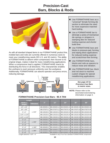## **Precision-Cast Bars, Blocks & Rods**



As with all standard shaped items in our FORMATHANE product line, molded bars and rods are currently offered in numerous sizes to meet your metalforming needs (55 U.S. and 30 metric). The ability of FORMATHANE to deform when compressed, then recover to its original shape, makes it ideal for many metalforming applications. When a compressive load is applied, FORMATHANE reacts by distributing the force in all directions. This characteristic enables the urethane to exert pressure uniformly over the workpiece. Additionally, FORMATHANE can absorb operator and press errors, reducing damage.



- Use FORMATHANE bars as a "universal" female forming die section to eliminate the need for more expensive matched hard tooling.
- **Use a FORMATHANE bar to** eliminate a series of mechanical die springs or strippers in stamping dies for reduced tooling expense and shorter build time.
- Use FORMATHANE bars and blocks in pressure-pad, forming and wiping block applications for reduced tooling expense and scratch/mar-free forming.
- Use FORMATHANE bars, blocks and rods as spacers to reduce noise and vibration.
- Use FORMATHANE bar, block and rod stock to machine custom shapes for special metalforming applications.

#### *See page 15 for Precision-Cast Bars in metric sizes.*

**NOTE:** Please refer to the durometer/color/ordering information on page 3.

| Length                          |                  |             |                             |     |              |                           |
|---------------------------------|------------------|-------------|-----------------------------|-----|--------------|---------------------------|
| <b>Width x</b><br><b>Height</b> | <b>Tolerance</b> | 2"          | 12"                         | 24" | 36"          | 48"                       |
| $1/2" \times 1/2"$              |                  | MB-005005-2 | MB-005005-12 MB-005005-24   |     | MB-005005-36 | MB-005005-48              |
| $3/4" \times 3/4"$              |                  | MB-075075-2 | MB-075075-12 MB-075075-24   |     | MB-075075-36 | MB-075075-48              |
| $1" \times 1"$                  | ±.015"           | MB-100100-2 | MB-100100-12 MB-100100-24   |     | MB-100100-36 | MB-100100-48              |
| $1 - 1/4$ " x $1 - 1/4$ "       |                  | MB-125125-2 | MB-125125-12 MB-125125-24   |     |              | MB-125125-36 MB-125125-48 |
| $1 - 1/2" \times 1 - 1/2"$      |                  | MB-150150-2 | MB-150150-12 MB-150150-24   |     | MB-150150-36 | MB-150150-48              |
| $2" \times 2"$                  |                  | MB-200200-2 | MB-200200-12 MB-200200-24   |     | MB-200200-36 | MB-200200-48              |
| $2" \times 3"$                  | ±.030"           | MB-200300-2 | IMB-200300-12 IMB-200300-24 |     |              | MB-200300-36 MB-200300-48 |
| $3" \times 3"$                  |                  | MB-300300-2 | MB-300300-12 MB-300300-24   |     | MB-300300-36 | MB-300300-48              |
| $4" \times 4"$                  | ±.040"           | MB-400400-2 | MB-400400-12 MB-400400-24   |     | MB-400400-36 | MB-400400-48              |
| $5" \times 5"$                  | ±.060"           | MB-500500-2 | MB-500500-12 MB-500500-24   |     | MB-500500-36 | MB-500500-48              |
| $6" \times 6"$                  |                  | MB-600600-2 | MB-600600-12 MB-600600-24   |     |              | MB-600600-36 MB-600600-48 |

#### **FORMATHANE Precision-Cast Bars - 95 A TAN**

*Length tolerance +1/8" / -0" Available in any of our four standard FORMATHANE compounds.*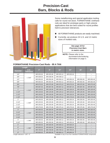## **Precision-Cast Bars, Blocks & Rods**



Some metalforming and special application tooling calls for round rod stock. FORMATHANE Urethane rods are ideal for prototype parts or high-volume applications that are best suited for round profiles held to precision tolerances.

- All FORMATHANE products are easily machined.
- Currently, we produce 24 U.S. and 12 metric sizes of molded rods.

*See page 15 for Precision-Cast Bars in metric sizes.*

**NOTE:** Please refer to the durometer/color/ordering information on page 3.

#### **FORMATHANE Precision-Cast Rods - 95 A TAN**

|                 | Length            |           |           |           |           |                          |                          |
|-----------------|-------------------|-----------|-----------|-----------|-----------|--------------------------|--------------------------|
| <b>Diameter</b> | O.D.<br>Tolerance | 3"        | 6"        | 12"       | 24"       | 36"                      | 48"                      |
| 1/4"            |                   | MR-025-03 | MR-025-06 | MR-025-12 | MR-025-24 | $\overline{\phantom{0}}$ | $\overline{\phantom{m}}$ |
| 3/8"            | ±.010"            | MR-038-03 | MR-038-06 | MR-038-12 |           |                          |                          |
| 1/2"            |                   | MR-050-03 | MR-050-06 | MR-050-12 | MR-050-24 | MR-050-36                | MR-050-48                |
| 5/8"            |                   | MR-063-03 | MR-063-06 | MR-063-12 | MR-063-24 | MR-063-36                | MR-063-48                |
| 3/4"            |                   | MR-075-03 | MR-075-06 | MR-075-12 | MR-075-24 | MR-075-36                | MR-075-48                |
| 7/8"            |                   | MR-087-03 | MR-087-06 | MR-087-12 | MR-087-24 | MR-087-36                | MR-087-48                |
| 1"              | ±.015"            | MR-100-03 | MR-100-06 | MR-100-12 | MR-100-24 | MR-100-36                | MR-100-48                |
| $1 - 1/4"$      |                   | MR-125-03 | MR-125-06 | MR-125-12 | MR-125-24 | MR-125-36                | MR-125-48                |
| $1 - 1/2"$      |                   | MR-150-03 | MR-150-06 | MR-150-12 | MR-150-24 | MR-150-36                | MR-150-48                |
| $1 - 3/4"$      |                   | MR-175-03 | MR-175-06 | MR-175-12 | MR-175-24 | MR-175-36                | MR-175-48                |
| 2"              |                   | MR-200-03 | MR-200-06 | MR-200-12 | MR-200-24 | MR-200-36                | MR-200-48                |
| $2 - 1/4"$      | ±.020"            | MR-225-03 | MR-225-06 | MR-225-12 | MR-225-24 | MR-225-36                | MR-225-48                |
| $2 - 1/2"$      |                   | MR-250-03 | MR-250-06 | MR-250-12 | MR-250-24 | MR-250-36                | MR-250-48                |
| $2 - 3/4"$      |                   | MR-275-03 | MR-275-06 | MR-275-12 | MR-275-24 | MR-275-36                | MR-275-48                |
| 3"              |                   | MR-300-03 | MR-300-06 | MR-300-12 | MR-300-24 | MR-300-36                | MR-300-48                |
| $3 - 1/4"$      | ±.030"            | MR-325-03 | MR-325-06 | MR-325-12 | MR-325-24 | MR-325-36                | MR-325-48                |
| $3 - 1/2"$      |                   | MR-350-03 | MR-350-06 | MR-350-12 | MR-350-24 | MR-350-36                | MR-350-48                |
| $3 - 3/4"$      |                   | MR-375-03 | MR-375-06 | MR-375-12 | MR-375-24 | MR-375-36                | MR-375-48                |
| 4"              | ±.040"            | MR-400-03 | MR-400-06 | MR-400-12 | MR-400-24 | MR-400-36                | MR-400-48                |
| $4 - 1/2"$      |                   | MR-450-03 | MR-450-06 | MR-450-12 | MR-450-24 | MR-450-36                | MR-450-48                |
| 5"              |                   | MR-500-03 | MR-500-06 | MR-500-12 | MR-500-24 |                          |                          |
| 6"              | ±.060"            | MR-600-03 | MR-600-06 | MR-600-12 | MR-600-24 | $\overline{\phantom{m}}$ |                          |
| 7"              |                   | MR-700-03 | MR-700-06 | MR-700-12 | MR-700-24 | $\qquad \qquad -$        |                          |
| 8"              |                   | MR-800-03 | MR-800-06 | MR-800-12 | MR-800-24 |                          |                          |

*Length tolerance +1/8"/ -0" Available in any of our four standard FORMATHANE compounds.*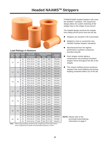## **Headed NAAMSTM Strippers**



#### **Load Ratings in Newtons**

| <b>Punch</b><br>Dia. | Outside Length<br>Dia. B |    | <b>95 A TAN</b>    | <b>Newtons Required</b><br>to deflect |      | <b>NAAMS</b> |         |           |      |      |      |         |
|----------------------|--------------------------|----|--------------------|---------------------------------------|------|--------------|---------|-----------|------|------|------|---------|
| mm                   | mm                       | mm | <b>Part Number</b> | 3 <sub>mm</sub>                       | 6mm  | 9mm          | Code    |           |      |      |      |         |
|                      |                          | 44 | MTH-10-44          | 721                                   | 1237 | 1966         | P051044 |           |      |      |      |         |
| 10                   | 18                       | 54 | MTH-10-54          | 694                                   | 1179 | 1770         | P051054 |           |      |      |      |         |
|                      |                          | 64 | MTH-10-64          | 689                                   | 1121 | 1610         | P051064 |           |      |      |      |         |
|                      |                          | 74 | MTH-10-74          | 654                                   | 1036 | 1446         | P051074 |           |      |      |      |         |
|                      |                          | 44 | MTH-13-44          | 1303                                  | 2184 | 3380         | P051344 |           |      |      |      |         |
| 13                   | 23                       | 54 | MTH-13-54          | 1179                                  | 2028 | 3118         | P051354 |           |      |      |      |         |
|                      |                          | 64 | MTH-13-64          | 1023                                  | 1775 | 2580         | P051364 |           |      |      |      |         |
|                      |                          | 74 | MTH-13-74          | 907                                   | 1508 | 2175         | P051374 |           |      |      |      |         |
|                      |                          | 44 | MTH-16-44          | 1548                                  | 2655 | 4159         | P051644 |           |      |      |      |         |
| 16                   | 28                       | 54 | MTH-16-54          | 1406                                  | 2402 | 3696         | P051654 |           |      |      |      |         |
|                      |                          |    |                    |                                       |      |              | 64      | MTH-16-64 | 1263 | 2277 | 3340 | P051664 |
|                      |                          | 74 | MTH-16-74          | 1121                                  | 1868 | 2807         | P051674 |           |      |      |      |         |
|                      |                          | 44 | MTH-20-44          | 2139                                  | 3683 | 5711         | P052044 |           |      |      |      |         |
| 20                   |                          | 33 | 54                 | MTH-20-54                             | 2002 | 3389         | 5253    | P052054   |      |      |      |         |
|                      |                          | 64 | MTH-20-64          | 1864                                  | 3211 | 4653         | P052064 |           |      |      |      |         |
|                      |                          | 74 | MTH-20-74          | 1730                                  | 2936 | 4230         | P052074 |           |      |      |      |         |
|                      |                          | 44 | MTH-25-44          | 2869                                  | 4946 | 7490         | P052544 |           |      |      |      |         |
| 25                   | 40                       | 54 | MTH-25-54          | 2660                                  | 4546 | 6810         | P052554 |           |      |      |      |         |
|                      |                          | 64 | MTH-25-64          | 2464                                  | 4114 | 5983         | P052564 |           |      |      |      |         |
|                      |                          | 74 | MTH-25-74          | 2224                                  | 3799 | 5498         | P052574 |           |      |      |      |         |
|                      |                          | 44 | MTH-32-44          | 4386                                  | 7557 | 11672        | P053244 |           |      |      |      |         |
|                      |                          | 54 | MTH-32-54          | 4021                                  | 6917 | 10373        | P053254 |           |      |      |      |         |
| 32                   | 50                       | 64 | MTH-32-64          | 3483                                  | 6063 | 8918         | P053264 |           |      |      |      |         |
|                      |                          | 74 | MTH-32-74          | 3260                                  | 5662 | 8207         | P053274 |           |      |      |      |         |
|                      |                          | 44 | MTH-40-44          | 5391                                  | 9830 | 15248        | P054054 |           |      |      |      |         |
| 40                   | 60                       | 54 | MTH-40-54          | 4915                                  | 8651 | 13411        | P054064 |           |      |      |      |         |
|                      |                          | 64 | MTH-40-64          | 4448                                  | 7953 | 11778        | P054074 |           |      |      |      |         |

FORMATHANE headed strippers fully meet the NAAMS<sup>™</sup> standard. The closed-end design allows for custom matching of the stripper face to the shape of your punch.

The headed design prevents the stripper from falling off the punch and into the die.

- Strippers are stocked in 95 A durometer.
- Molded to meet or exceed the new NAAMS Headed Stripper Standards.
- **Manufactured from the highest**  performance urethane compound; provides long life.
- Each stripper resists taking a compression set providing consistent stripper forces throughout the life of the stripper.
- The unique molding process produces strippers that resist splitting and tearing keeping unwanted debris out of the die.

**NOTE:** Please refer to the durometer/color/ordering information on page 3.

*Note: 44mm long bushings should not be compressed more than 6.6mm; more compression exceeds recommended maximum of 15%.*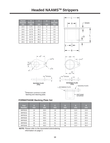## **Headed NAAMSTM Strippers**

| <b>Punch</b><br><b>Diameter</b><br>mm | $\mathbf{A}$<br><b>Press Fit</b><br>mm | C<br>mm | D<br>mm | Е<br><b>Vent Hole</b><br>mm |
|---------------------------------------|----------------------------------------|---------|---------|-----------------------------|
| 10.0                                  | 9.75                                   | 21.3    | 6       | 1.6                         |
| 13.0                                  | 12.75                                  | 26.3    | 6       | 3.0                         |
| 16.0                                  | 15.75                                  | 31.3    | 6       | 3.0                         |
| 20.0                                  | 19.75                                  | 36.3    | 7       | 3.0                         |
| 25.0                                  | 24.75                                  | 43.3    | 7       | 3.0                         |
| 32.0                                  | 31.70                                  | 55.3    | 7       | 3.0                         |
| 40.0                                  | 39.70                                  | 65.3    | 8       | 3.0                         |

 $\overline{B}$ 

 $\overline{\otimes A^{+0.3}}$ 

 $R^*$ 

 $\tilde{I}$ 

 $4.5*$ R

 $8*R$ 



 $E^*$ 





\*Dimension common to both backing and retaining plate.

્રા



**FORMATHANE Backing Plate Set**

| <b>Part</b><br><b>Number</b> | A<br>mm | в<br>mm | $\mathbf{C}$<br>m <sub>m</sub> | D<br>mm | E<br>mm | R<br>mm |
|------------------------------|---------|---------|--------------------------------|---------|---------|---------|
| <b>BRP0010</b>               | 10      | 29.0    | 19                             | 22      | 11.0    | 13.0    |
| <b>BRP0013</b>               | 13      | 32.0    | 24                             | 27      | 11.0    | 15.5    |
| <b>BRP0016</b>               | 16      | 34.0    | 29                             | 32      | 11.0    | 18.0    |
| <b>BRP0020</b>               | 20      | 36.0    | 34                             | 37      | 11.5    | 20.5    |
| <b>BRP0025</b>               | 25      | 40.6    | 41                             | 44      | 10.5    | 24.0    |
| <b>BRP0032</b>               | 32      | 42.0    | 51                             | 56      | 10.5    | 31.0    |
| <b>BRP0040</b>               | 40      | 46.0    | 61                             | 66      | 11.0    | 36.0    |

**NOTE:** Please refer to the durometer/color/ordering information on page 3.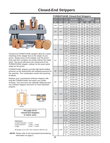## **Closed-End Strippers**



Closed-end FORMATHANE strippers allow for custommatching of the stripper face to the shape of your punch. Simply press-fit the stripper onto the punch body and then complete one stroke without the metal stock. The punch will pierce the closed-end of the FORMATHANE stripper, cutting it to the exact same shape as the punch.

FORMATHANE strippers provide high blank-holding pressure on the downstroke and stripping pressure on the upstroke. This combination means less jamming of blanks.

Replace your conventional urethane strippers with long-life FORMATHANE and watch your profits increase. Your tool room can sidestep replacing worn out urethane strippers and work on more important projects.



*See page 15 for Closed-End Strippers in metric sizes.*

#### *Tolerances:*

*Outside Diameters ± 0.015" Inside Diameters - 0.005" / - 0.020" Length +0.015" / +0.046"*

*All lengths cut to 1/32" over nominal to allow for set.*

**NOTE:** Please refer to the durometer/color/ordering information on page 3.

|            |            |            | <b>Pounds Required</b><br><b>95 A TAN</b> |         | to deflect |         | Bulge   |
|------------|------------|------------|-------------------------------------------|---------|------------|---------|---------|
| I.D.       | 0.D.       | Length     | <b>Part Number</b>                        | $1/8$ " | 1/4"       | $1/2$ " | at 1/2" |
| 3/16"      | 11/16"     | $1 - 1/4"$ | MT316-125                                 | 220     | 375        | 1035    | 0.25    |
|            |            | $1 - 1/2"$ | MT316-150                                 | 215     | 360        | 900     | 0.20    |
|            |            | $1 - 1/4"$ | MT104-125                                 | 225     | 410        | 975     | 0.30    |
| 1/4"       | 3/4"       | $1 - 1/2"$ | MT104-150                                 | 210     | 370        | 790     | 0.24    |
|            |            | $1 - 3/4"$ | MT104-175                                 | 195     | 345        | 700     | 0.23    |
|            |            | $1 - 1/4"$ | MT516-125                                 | 265     | 450        | 1035    | 0.31    |
| 5/16"      | 13/16"     | $1 - 1/2"$ | MT516-150                                 | 250     | 420        | 935     | 0.24    |
|            |            | $1 - 3/4"$ | MT516-175                                 | 235     | 400        | 865     | 0.19    |
|            |            | 2"         | MT516-200                                 | 230     | 385        | 810     | 0.15    |
|            |            | $1 - 1/4"$ | MT308-125                                 | 270     | 460        | 960     | 0.22    |
| 3/8"       | 7/8"       | $1 - 1/2"$ | MT308-150                                 | 260     | 430        | 910     | 0.20    |
|            |            | $1 - 3/4"$ | MT308-175                                 | 250     | 415        | 875     | 0.18    |
|            |            | 2"         | MT308-200                                 | 240     | 400        | 850     | 0.17    |
|            |            | $1 - 1/4"$ | MT102-125                                 | 280     | 480        | 1025    | 0.39    |
|            |            | $1 - 1/2"$ | MT102-150                                 | 240     | 420        | 945     | 0.37    |
| 1/2"       | 1"         | $1 - 3/4"$ | MT102-175                                 | 230     | 400        | 880     | 0.24    |
|            |            | 2"         | MT102-200                                 | 215     | 370        | 835     | 0.21    |
|            |            | $2 - 1/4"$ | MT102-225                                 | 200     | 345        | 800     | 0.19    |
|            |            | $1 - 1/4"$ | MT508-125                                 | 370     | 610        | 1170    | 0.34    |
| 5/8"       | $1 - 1/8"$ | $1 - 1/2"$ | MT508-150                                 | 340     | 565        | 1135    | 0.28    |
|            |            | $1 - 3/4"$ | MT508-175                                 | 320     | 530        | 1110    | 0.23    |
|            |            | 2"         | MT508-200                                 | 300     | 510        | 1090    | 0.20    |
|            |            | 1-3/4"     | MT304-175                                 | 675     | 1190       | 2090    | 0.24    |
|            |            | 2"         | MT304-200                                 | 640     | 1120       | 1925    | 0.21    |
| 3/4"       | $1 - 1/2"$ | $2 - 1/4"$ | MT304-225                                 | 610     | 1065       | 1790    | 0.18    |
|            |            | $2 - 1/2"$ | MT304-250                                 | 585     | 1025       | 1690    | 0.16    |
|            |            | $2 - 3/4"$ | MT304-275                                 | 565     | 990        | 1610    | 0.14    |
|            |            | $1 - 3/4"$ | MT708-175                                 | 935     | 1685       | 3050    | 0.31    |
|            |            | 2"         | MT708-200                                 | 855     | 1535       | 2660    | 0.27    |
| 7/8"       | $1 - 3/4"$ | $2 - 1/4"$ | MT708-225                                 | 795     | 1420       | 2395    | 0.23    |
|            |            | 2-1/2"     | MT708-250                                 | 745     | 1325       | 2180    | 0.20    |
|            |            | 2-3/4"     | MT708-275                                 | 710     | 1250       | 2010    | 0.17    |
|            |            | $1 - 3/4"$ | MT1000-175                                | 965     | 1790       | 3115    | 0.31    |
|            |            | 2"         | MT1000-200                                | 950     | 1680       | 2810    | 0.26    |
| 1"         | 2"         | $2 - 1/4"$ | MT1000-225                                | 815     | 1515       | 2420    | 0.24    |
|            |            | 2-1/2"     | MT1000-250                                | 805     | 1480       | 2335    | 0.23    |
|            |            | 2-3/4"     | MT1000-275                                | 770     | 1400       | 2270    | 0.19    |
|            |            | 2"         | MT1104-200                                | 1675    | 3010       | 4920    | 0.31    |
|            |            | $2 - 1/4"$ | MT1104-225                                | 1560    | 2810       | 4520    | 0.27    |
| $1 - 1/4"$ | $2 - 1/2"$ | $2 - 1/2"$ | MT1104-250                                | 1475    | 2650       | 4200    | 0.24    |
|            |            | 2-3/4"     | MT1104-275                                | 1400    | 2520       | 3945    | 0.22    |
|            |            | 3"         | MT1104-300                                | 1340    | 2410       | 3730    | 0.20    |
|            |            | 2"         | MT1102-200                                | 1655    | 3080       | 5035    | 0.29    |
|            |            | 2-1/4"     | MT1102-225                                | 1575    | 2915       | 4660    | 0.28    |
| $1 - 1/2"$ | $2 - 3/4"$ | $2 - 1/2"$ | MT1102-250                                | 1560    | 2795       | 4365    | 0.27    |
|            |            | $2 - 3/4"$ | MT1102-275                                | 1495    | 2665       | 4120    | 0.26    |
|            |            | 3"         | MT1102-300                                | 1300    | 2425       | 3765    | 0.22    |

### **FORMATHANE Closed-End Strippers**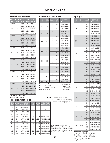## **Metric Sizes**

#### **Precision-Cast Bars**

| Width<br>mm | <b>Height</b><br>mm | Length<br>m <sub>m</sub> | 95 A TAN<br><b>Part Number</b> |
|-------------|---------------------|--------------------------|--------------------------------|
| ± 0.4mm     |                     | 100                      | MBM-2525100                    |
|             |                     | 415                      | MBM-2525415                    |
| 25          | 25                  | 500                      | MBM-2525500                    |
|             |                     | 835                      | MBM-2525835                    |
|             |                     | 1000                     | MBM-25251000                   |
| ± 0.4mm     |                     | 100                      | MBM-3025100                    |
|             |                     | 415                      | MBM-3025415                    |
| 30          | 25                  | 500                      | MBM-3025500                    |
|             |                     | 835                      | MBM-3025835                    |
|             |                     | 1000                     | MBM-30251000                   |
| ±0.6mm      |                     | 100                      | MBM-5050100                    |
|             |                     | 415                      | MBM-5050415                    |
| 50          | 50                  | 500                      | MBM-5050500                    |
|             |                     | 835                      | MBM-5050835                    |
|             |                     | 1000                     | MBM-50501000                   |
| ± 0.8mm     |                     | 100                      | MBM-8030100                    |
|             |                     | 415                      | MBM-8030415                    |
| 80          | 30                  | 500                      | MBM-8030500                    |
|             |                     | 835                      | MBM-8030835                    |
|             |                     | 1000                     | MBM-80301000                   |
| ± 0.8mm     |                     | 100                      | MBM-7550100                    |
|             |                     | 415                      | MBM-7550415                    |
| 75          | 50                  | 500                      | MBM-7550500                    |
|             |                     | 835                      | MBM-7550835                    |
|             |                     | 1000                     | MBM-75501000                   |
| ± 0.8mm     |                     | 100                      | MBM-11045100                   |
|             |                     | 415                      | MBM-11045415                   |
| 110         | 45                  | 500                      | MBM-11045500                   |
|             |                     | 835                      | MBM-11045835                   |
|             |                     | 1000                     | MBM-110451000                  |

#### **Closed-End Strippers**

| - г        |            |              |             |                                       |  |  |  |  |
|------------|------------|--------------|-------------|---------------------------------------|--|--|--|--|
| I.D.<br>mm | O.D.<br>mm | Length<br>mm | Air<br>Hole | <b>95 A TAN</b><br><b>Part Number</b> |  |  |  |  |
|            |            |              | 1.6         | MTM-061945                            |  |  |  |  |
| 6          | 19         | 53           | 1.6         | MTM-061953                            |  |  |  |  |
|            |            | 71           | 1.6         | MTM-061971                            |  |  |  |  |
|            |            | 45           | 1.6         | MTM-082145                            |  |  |  |  |
| 8          | 21         | 53           | 1.6         | MTM-082153                            |  |  |  |  |
|            |            | 71           | 1.6         | MTM-082171                            |  |  |  |  |
|            |            | 45           | 1.6         | MTM-102345                            |  |  |  |  |
| 10         | 23         | 53           | 1.6         | MTM-102353                            |  |  |  |  |
|            |            | 56           | 1.6         | MTM-102356                            |  |  |  |  |
|            |            | 71           | 1.6         | MTM-102371                            |  |  |  |  |
|            | 26         | 45           | 3.0         | MTM-132645                            |  |  |  |  |
| 13         |            | 53           | 3.0         | MTM-132653                            |  |  |  |  |
|            |            | 56           | 3.0         | MTM-132656                            |  |  |  |  |
|            |            | 71           | 3.0         | MTM-132671                            |  |  |  |  |
|            |            | 45           | 3.0         | MTM-163045                            |  |  |  |  |
| 16         | 30         | 53           | 3.0         | MTM-163053                            |  |  |  |  |
|            |            | 56           | 3.0         | MTM-163056                            |  |  |  |  |
|            |            | 71           | 3.0         | MTM-163071                            |  |  |  |  |
|            |            | 45           | 3.0         | MTM-203845                            |  |  |  |  |
| 20         | 38         | 53           | 3.0         | MTM-203853                            |  |  |  |  |
|            |            | 71           | 3.0         | MTM-203871                            |  |  |  |  |
|            |            | 45           | 3.0         | MTM-255045                            |  |  |  |  |
| 25         | 50         | 53           | 3.0         | MTM-255053                            |  |  |  |  |
|            |            | 71           | 3.0         | MTM-255071                            |  |  |  |  |
| 32         | 60         | 45           | 3.0         | MTM-326045                            |  |  |  |  |

*Tolerances–Strippers: O.D. ± 0.4mm I.D. -0.1mm / -0.5mm Length ± 0.4mm*

*All lengths cut to 1mm over nominal to allow for set.*

#### **Springs**

| əpringə    |                       |              |                                |
|------------|-----------------------|--------------|--------------------------------|
| I.D.<br>mm | O.D.<br>$\mathsf{mm}$ | Length<br>mm | 95 A TAN<br><b>Part Number</b> |
|            |                       | 25           | MMM-71525                      |
|            |                       | 30           | MMM-71530                      |
| 7          | 15                    | 35           | MMM-71535                      |
|            |                       | 40           | MMM-71540                      |
|            |                       | 330          | MMM-715330                     |
|            |                       | 25           | MMM-82025                      |
|            |                       | 30           | MMM-82030                      |
|            |                       |              |                                |
| 8.5        | 20                    | 35           | MMM-82035                      |
|            |                       | 40           | MMM-82040                      |
|            |                       | 330          | MMM-820330                     |
|            |                       | 25           | MMM-112525                     |
|            |                       | 30           | MMM-112530                     |
| 11         | 25                    | 35           | MMM-112535                     |
|            |                       | 40           | MMM-112540                     |
|            |                       | 45           | MMM-112545                     |
|            |                       | 330          | MMM-1125330                    |
|            |                       | 25           | MMM-143025                     |
|            |                       | 30           | MMM-143030                     |
|            |                       | 35           | MMM-143035                     |
|            |                       | 40           | MMM-143040                     |
| 14         | 30                    | 45           | MMM-143045                     |
|            |                       | 50           | MMM-143050                     |
|            |                       | 55           | MMM-143055                     |
|            |                       | 60           | MMM-143060                     |
|            |                       | 500          | MMM-1430500                    |
|            |                       | 40           | MMM-144040                     |
|            |                       | 50           | MMM-144050                     |
| 14         | 40                    |              | MMM-144060                     |
|            |                       | 60           |                                |
|            |                       | 500          | MMM-1440500                    |
|            |                       | 50           | MMM-145050                     |
| 14         | 50                    | 60           | MMM-145060                     |
|            |                       | 80           | MMM-145080                     |
|            |                       | 500          | MMM-1450500                    |
|            |                       | 50           | MMM-146050                     |
| 14         | 60                    | 60           | MMM-146060                     |
|            |                       | 80           | MMM-146080                     |
|            |                       | 500          | MMM-1460500                    |
|            |                       | 60           | MMM-228060                     |
|            |                       | 80           | MMM-228080                     |
| 22         | 80                    | 100          | MMM-2280100                    |
|            |                       | 500          | MMM-2280500                    |
|            |                       | 80           | MMM-2210080                    |
|            |                       | 100          | MMM-22100100                   |
| 22         | 100                   |              |                                |
|            |                       |              |                                |
|            |                       | 120<br>500   | MMM-22100120<br>MMM-22100500   |

*Tolerances–Cast Bars: Length + 3mm / -0mm*

#### **Precision-Cast Rods**

| Dia.<br>mm | Length<br>mm | <b>95 A TAN</b><br><b>Part Number</b> | Dia.<br>mm | Length<br>mm | <b>95 A TAN</b><br><b>Part Number</b> |
|------------|--------------|---------------------------------------|------------|--------------|---------------------------------------|
| 8          | 500          | MRM-8500                              |            |              |                                       |
| 10         | 500          | MRM-10500                             |            |              |                                       |
| 15         | 500          | MRM-15500                             |            |              |                                       |
| 20         | 500          | MRM-20500                             |            |              |                                       |
| 25         | 500          | MRM-25500                             | 25         | 1000         | MRM-251000                            |
| 30         | 500          | MRM-30500                             | 30         | 1000         | MRM-301000                            |
| 40         | 500          | MRM-40500                             | 40         | 1000         | MRM-401000                            |
| 50         | 500          | MRM-50500                             | 50         | 1000         | MRM-501000                            |
| 60         | 500          | MRM-60500                             | 60         | 1000         | MRM-601000                            |
| 70         | 500          | MRM-70500                             | 70         | 1000         | MRM-701000                            |
| 80         | 500          | MRM-80500                             | 80         | 1000         | MRM-801000                            |
| 100        | 500          | MRM-100500                            | 100        | 1000         | MRM-1001000                           |

*Tolerances–Cast Rods: Diameter 8mm - 40mm ± 0.4mm Diameter 50mm - 60mm ± 0.6mm Diameter 70mm -100mm ± 0.8mm Length +3mm / -0*

*O.D. 15mm - 40mm ± 0.4mm O.D. 50mm - 60mm ± 0.6mm O.D. 80mm - 100mm ± 0.8mm I.D. -0.1mm / -0.5mm Length +3mm / -0*

**NOTE:** Please refer to the

 durometer/color/ordering information on page 3.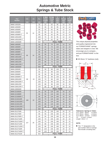## **Automotive Metric Springs & Tube Stock**

| Part            | <b>O.D.</b> | I.D. | FL. | A Max<br>Comp | <b>B</b> Max<br>Comp | $\mathbf{C}$<br><b>Hole</b> | D<br><b>Thread</b> | E<br><b>Thread</b> |
|-----------------|-------------|------|-----|---------------|----------------------|-----------------------------|--------------------|--------------------|
| <b>Number</b>   | mm          | mm   | mm  | Length<br>mm  | <b>O.D.</b><br>mm    | <b>Size</b><br>mm           | Size<br>mm         | <b>Depth</b><br>mm |
| MMM-145032R     |             |      | 32  | 22            | 62                   | 95                          | 12                 | 14                 |
| MMM-145050R     |             |      | 50  | 35            | 62                   | 95                          | 12                 | 14                 |
| MMM-145060R     |             |      | 60  | 42            | 62                   | 95                          | 12                 | 14                 |
| MMM-145080R     |             |      | 80  | 56            | 62                   | 95                          | 12                 | 14                 |
| MMM-145080R-T   | 50          | 14   | 80  | 56            | 62                   | 95                          | 12                 | 14                 |
| MMM-1450100R    |             |      | 100 | 70            | 62                   | 95                          | 12                 | 14                 |
| MMM-1450100R-T  |             |      | 100 | 70            | 62                   | 95                          | 12                 | 14                 |
| MMM-1450500R    |             |      | 500 |               |                      | <b>FULL TUBE</b>            |                    |                    |
| MMM-146050R     |             |      | 50  | 35            | 74                   | 110                         | 12                 | 14                 |
| MMM-146060R     |             |      | 60  | 42            | 74                   | 110                         | 12                 | 14                 |
| MMM-146060R-T   |             |      | 60  | 42            | 74                   | 110                         | 12                 | 14                 |
| MMM-146080R     |             |      | 80  | 56            | 74                   | 110                         | 12                 | 14                 |
| MMM-146080R-T   | 60          | 14   | 80  | 56            | 74                   | 110                         | 12                 | 14                 |
| MMM-1460100R    |             |      | 100 | 70            | 74                   | 110                         | 12                 | 14                 |
| MMM-1460100R-T  |             |      | 100 | 70            | 74                   | 110                         | 12                 | 14                 |
| MMM-1460125R    |             |      | 125 | 88            | 74                   | 110                         | 12                 | 14                 |
| MMM-1460125R-T  |             |      | 125 | 88            | 74                   | 110                         | 12                 | 14                 |
| MMM-1460500R    |             |      | 500 |               |                      | <b>FULL TUBE</b>            |                    |                    |
| MMM-228050R     |             |      | 50  | 35            | 98                   | 135                         | 16                 | 18                 |
| MMM-228060R     |             | 22   | 60  | 42            | 98                   | 135                         | 16                 | 18                 |
| MMM-228080R     |             |      | 80  | 56            | 98                   | 135                         | 16                 | 18                 |
| MMM-228080R-T   |             |      | 80  | 56            | 98                   | 135                         | 16                 | 18                 |
| MMM-2280100R    | 80          |      | 100 | 70            | 98                   | 135                         | 16                 | 18                 |
| MMM-2280100R-T  |             |      | 100 | 70            | 98                   | 135                         | 16                 | 18                 |
| MMM-2280125R    |             |      | 125 | 88            | 98                   | 135                         | 16                 | 18                 |
| MMM-2280125R-T  |             |      | 125 | 88            | 98                   | 135                         | 16                 | 18                 |
| MMM-2280500R    |             |      | 500 |               |                      | <b>FULL TUBE</b>            |                    |                    |
| MMM-2210050R    |             |      | 50  | 35            | 124                  | 160                         | 16                 | 18                 |
| MMM-2210080R    |             |      | 80  | 56            | 124                  | 160                         | 16                 | 18                 |
| MMM-2210080R-T  |             |      | 80  | 56            | 124                  | 160                         | 16                 | 18                 |
| MMM-22100100R   | 100         | 22   | 100 | 70            | 124                  | 160                         | 16                 | 18                 |
| MMM-22100100R-T |             |      | 100 | 70            | 124                  | 160                         | 16                 | 18                 |
| MMM-22100125R   |             |      | 125 | 88            | 124                  | 160                         | 16                 | 18                 |
| MMM-22100125R-T |             |      | 125 | 88            | 124                  | 160                         | 16                 | 18                 |
| MMM-22100500R   |             |      | 500 |               |                      | <b>FULL TUBE</b>            |                    |                    |
| MMM-2512750R    |             |      | 50  | 35            | 155                  | 190                         | 20                 | 22                 |
| MMM-2512780R    |             |      | 80  | 56            | 155                  | 190                         | 20                 | 22                 |
| MMM-2512780R-T  |             |      | 80  | 56            | 155                  | 190                         | 20                 | 22                 |
| MMM-25127100R   |             |      | 100 | 70            | 155                  | 190                         | 20                 | 22                 |
| MMM-25127100R-T | 127         | 25   | 100 | 70            | 155                  | 190                         | 20                 | 22                 |
| MMM-25127125R   |             |      | 125 | 88            | 155                  | 190                         | 20                 | 22                 |
| MMM-25127125R-T |             |      | 125 | 88            | 155                  | 190                         | 20                 | 22                 |
| MMM-25127160R   |             |      | 160 | 120           | 155                  | 190                         | 20                 | 22                 |
| MMM-25127160R-T |             |      | 160 | 120           | 155                  | 190                         | 20                 | 22                 |
| MMM-25127915R   |             |      | 915 |               |                      | <b>FULL TUBE</b>            |                    |                    |





The unique physical properties and quality engineered into our FORMATHANE® springs, tubes and strippers is new. We encourage you to compare... and put FORMATHANE® to the test.

85 Shore "A" hardness (red).





*Tolerances–Springs & Tubes: O.D. 15mm - 40mm ± 0.4mm O.D. 50mm - 60mm ± 0.6mm O.D. 80mm - 127mm ± 0.8mm I.D. -0.1mm / -0.5mm Length +3mm / -0*

#### **NOTE:**

■ The "-T" designation in the part number refers to springs that include a locating stud.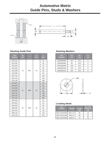## **Automotive Metric Guide Pins, Studs & Washers**



#### **Stacking Guide Pins**

| Part<br><b>Number</b> | D <sub>1</sub><br>mm | т               | L <sub>2</sub><br>mm | L.<br>mm |
|-----------------------|----------------------|-----------------|----------------------|----------|
| M12-032               |                      |                 |                      | 32       |
| M12-040               |                      |                 |                      | 40       |
| M12-050               |                      |                 |                      | 50       |
| M12-063               |                      |                 |                      | 63       |
| M12-080               | 13                   | M12             | 18                   | 80       |
| M12-095               |                      |                 |                      | 95       |
| M12-118               |                      |                 |                      | 118      |
| M12-140               |                      |                 |                      | 140      |
| M12-180               |                      |                 |                      | 180      |
| M16-050               |                      |                 |                      | 50       |
| M16-063               |                      |                 |                      | 63       |
| M16-080               |                      |                 |                      | 80       |
| M16-095               | 21                   | M <sub>16</sub> | 25                   | 95       |
| M16-118               |                      |                 |                      | 118      |
| M16-140               |                      |                 |                      | 140      |
| M16-180               |                      |                 |                      | 180      |
| M20-050               |                      |                 |                      | 50       |
| M20-063               |                      |                 |                      | 63       |
| M20-080               |                      |                 |                      | 80       |
| M20-095               | 24                   | M20             | 30                   | 95       |
| M20-118               |                      |                 |                      | 118      |
| M20-140               |                      |                 |                      | 140      |
| M20-180               |                      |                 |                      | 180      |

#### **Stacking Washers**

| Part<br><b>Number</b> | D <sub>2</sub><br>mm | D <sub>3</sub><br>mm | T1<br>mm |
|-----------------------|----------------------|----------------------|----------|
| WASHER050             | 60                   | 16.5                 | 6        |
| WASHER060             | 80                   | 16.5                 | 6        |
| WASHER080             | 100                  | 20.5                 | 8        |
| WASHER100             | 120                  | 20.5                 | 8        |
| WASHER125             | 150                  | 26.0                 |          |



#### **Locating Studs**

| Part<br><b>Number</b> | <b>Thread</b>         | Length<br>mm | Use with<br>Spring I.D.<br>mm |
|-----------------------|-----------------------|--------------|-------------------------------|
| M12-LOCATING          | M <sub>12</sub> -1.75 | 64           | 14                            |
| M16-LOCATING          | M16-2.0               | 68           | 22                            |
| M20-LOCATING          | $M20-2.5$             | 72           | 25                            |